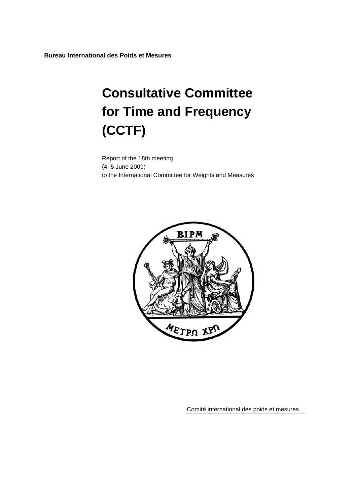**Bureau International des Poids et Mesures** 

# **Consultative Committee for Time and Frequency (CCTF)**

Report of the 18th meeting (4–5 June 2009) to the International Committee for Weights and Measures



Comité international des poids et mesures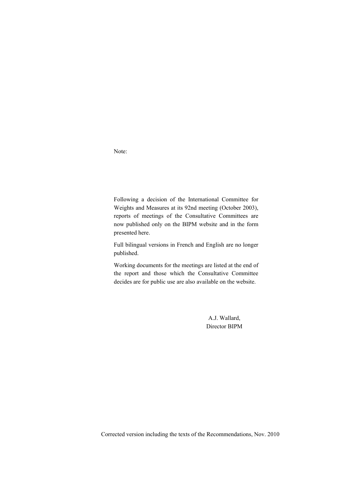Note:

Following a decision of the International Committee for Weights and Measures at its 92nd meeting (October 2003), reports of meetings of the Consultative Committees are now published only on the BIPM website and in the form presented here.

Full bilingual versions in French and English are no longer published.

Working documents for the meetings are listed at the end of the report and those which the Consultative Committee decides are for public use are also available on the website.

> A.J. Wallard, Director BIPM

Corrected version including the texts of the Recommendations, Nov. 2010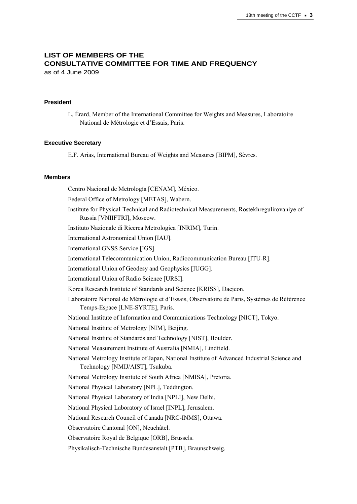# **LIST OF MEMBERS OF THE CONSULTATIVE COMMITTEE FOR TIME AND FREQUENCY**

as of 4 June 2009

### **President**

L. Érard, Member of the International Committee for Weights and Measures, Laboratoire National de Métrologie et d'Essais, Paris.

### **Executive Secretary**

E.F. Arias, International Bureau of Weights and Measures [BIPM], Sèvres.

### **Members**

Centro Nacional de Metrología [CENAM], México.

Federal Office of Metrology [METAS], Wabern.

Institute for Physical-Technical and Radiotechnical Measurements, Rostekhregulirovaniye of Russia [VNIIFTRI], Moscow.

Instituto Nazionale di Ricerca Metrologica [INRIM], Turin.

International Astronomical Union [IAU].

International GNSS Service [IGS].

International Telecommunication Union, Radiocommunication Bureau [ITU-R].

International Union of Geodesy and Geophysics [IUGG].

International Union of Radio Science [URSI].

Korea Research Institute of Standards and Science [KRISS], Daejeon.

Laboratoire National de Métrologie et d'Essais, Observatoire de Paris, Systèmes de Référence Temps-Espace [LNE-SYRTE], Paris.

National Institute of Information and Communications Technology [NICT], Tokyo.

National Institute of Metrology [NIM], Beijing.

National Institute of Standards and Technology [NIST], Boulder.

National Measurement Institute of Australia [NMIA], Lindfield.

National Metrology Institute of Japan, National Institute of Advanced Industrial Science and Technology [NMIJ/AIST], Tsukuba.

National Metrology Institute of South Africa [NMISA], Pretoria.

National Physical Laboratory [NPL], Teddington.

National Physical Laboratory of India [NPLI], New Delhi.

National Physical Laboratory of Israel [INPL], Jerusalem.

National Research Council of Canada [NRC-INMS], Ottawa.

Observatoire Cantonal [ON], Neuchâtel.

Observatoire Royal de Belgique [ORB], Brussels.

Physikalisch-Technische Bundesanstalt [PTB], Braunschweig.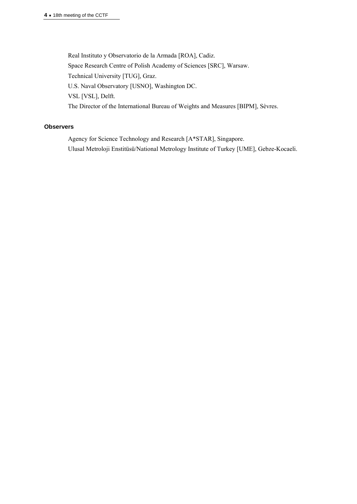Real Instituto y Observatorio de la Armada [ROA], Cadiz. Space Research Centre of Polish Academy of Sciences [SRC], Warsaw. Technical University [TUG], Graz. U.S. Naval Observatory [USNO], Washington DC. VSL [VSL], Delft. The Director of the International Bureau of Weights and Measures [BIPM], Sèvres.

### **Observers**

Agency for Science Technology and Research [A\*STAR], Singapore. Ulusal Metroloji Enstitüsü/National Metrology Institute of Turkey [UME], Gebze-Kocaeli.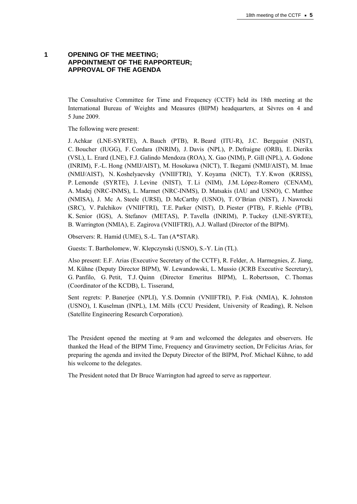# **1 OPENING OF THE MEETING; APPOINTMENT OF THE RAPPORTEUR; APPROVAL OF THE AGENDA**

The Consultative Committee for Time and Frequency (CCTF) held its 18th meeting at the International Bureau of Weights and Measures (BIPM) headquarters, at Sèvres on 4 and 5 June 2009.

The following were present:

J. Achkar (LNE-SYRTE), A. Bauch (PTB), R. Beard (ITU-R), J.C. Bergquist (NIST), C. Boucher (IUGG), F. Cordara (INRIM), J. Davis (NPL), P. Defraigne (ORB), E. Dierikx (VSL), L. Erard (LNE), F.J. Galindo Mendoza (ROA), X. Gao (NIM), P. Gill (NPL), A. Godone (INRIM), F.-L. Hong (NMIJ/AIST), M. Hosokawa (NICT), T. Ikegami (NMIJ/AIST), M. Imae (NMIJ/AIST), N. Koshelyaevsky (VNIIFTRI), Y. Koyama (NICT), T.Y. Kwon (KRISS), P. Lemonde (SYRTE), J. Levine (NIST), T. Li (NIM), J.M. López-Romero (CENAM), A. Madej (NRC-INMS), L. Marmet (NRC-INMS), D. Matsakis (IAU and USNO), C. Matthee (NMISA), J. Mc A. Steele (URSI), D. McCarthy (USNO), T. O'Brian (NIST), J. Nawrocki (SRC), V. Palchikov (VNIIFTRI), T.E. Parker (NIST), D. Piester (PTB), F. Riehle (PTB), K. Senior (IGS), A. Stefanov (METAS), P. Tavella (INRIM), P. Tuckey (LNE-SYRTE), B. Warrington (NMIA), E. Zagirova (VNIIFTRI), A.J. Wallard (Director of the BIPM).

Observers: R. Hamid (UME), S.-L. Tan (A\*STAR).

Guests: T. Bartholomew, W. Klepczynski (USNO), S.-Y. Lin (TL).

Also present: E.F. Arias (Executive Secretary of the CCTF), R. Felder, A. Harmegnies, Z. Jiang, M. Kühne (Deputy Director BIPM), W. Lewandowski, L. Mussio (JCRB Executive Secretary), G. Panfilo, G. Petit, T.J. Quinn (Director Emeritus BIPM), L. Robertsson, C. Thomas (Coordinator of the KCDB), L. Tisserand,

Sent regrets: P. Banerjee (NPLI), Y.S. Domnin (VNIIFTRI), P. Fisk (NMIA), K. Johnston (USNO), I. Kuselman (INPL), I.M. Mills (CCU President, University of Reading), R. Nelson (Satellite Engineering Research Corporation).

The President opened the meeting at 9 am and welcomed the delegates and observers. He thanked the Head of the BIPM Time, Frequency and Gravimetry section, Dr Felicitas Arias, for preparing the agenda and invited the Deputy Director of the BIPM, Prof. Michael Kühne, to add his welcome to the delegates.

The President noted that Dr Bruce Warrington had agreed to serve as rapporteur.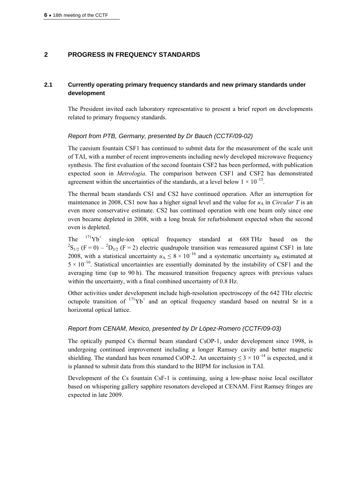# **2 PROGRESS IN FREQUENCY STANDARDS**

# **2.1 Currently operating primary frequency standards and new primary standards under development**

The President invited each laboratory representative to present a brief report on developments related to primary frequency standards.

# *Report from PTB, Germany, presented by Dr Bauch (CCTF/09-02)*

The caesium fountain CSF1 has continued to submit data for the measurement of the scale unit of TAI, with a number of recent improvements including newly developed microwave frequency synthesis. The first evaluation of the second fountain CSF2 has been performed, with publication expected soon in *Metrologia*. The comparison between CSF1 and CSF2 has demonstrated agreement within the uncertainties of the standards, at a level below  $1 \times 10^{-15}$ .

The thermal beam standards CS1 and CS2 have continued operation. After an interruption for maintenance in 2008, CS1 now has a higher signal level and the value for  $u<sub>A</sub>$  in *Circular T* is an even more conservative estimate. CS2 has continued operation with one beam only since one oven became depleted in 2008, with a long break for refurbishment expected when the second oven is depleted.

The  $171\text{Yb}^+$  single-ion optical frequency standard at 688 THz based on the <sup>2</sup>S<sub>1/2</sub> (F = 0) – <sup>2</sup>D<sub>3/2</sub> (F = 2) electric quadrupole transition was remeasured against CSF1 in late 2008, with a statistical uncertainty  $u_A \leq 8 \times 10^{-16}$  and a systematic uncertainty  $u_B$  estimated at  $5 \times 10^{-16}$ . Statistical uncertainties are essentially dominated by the instability of CSF1 and the averaging time (up to 90 h). The measured transition frequency agrees with previous values within the uncertainty, with a final combined uncertainty of 0.8 Hz.

Other activities under development include high-resolution spectroscopy of the 642 THz electric octupole transition of  $171Yb^+$  and an optical frequency standard based on neutral Sr in a horizontal optical lattice.

# *Report from CENAM, Mexico, presented by Dr López-Romero (CCTF/09-03)*

The optically pumped Cs thermal beam standard CsOP-1, under development since 1998, is undergoing continued improvement including a longer Ramsey cavity and better magnetic shielding. The standard has been renamed CsOP-2. An uncertainty  $\leq 3 \times 10^{-14}$  is expected, and it is planned to submit data from this standard to the BIPM for inclusion in TAI.

Development of the Cs fountain CsF-1 is continuing, using a low-phase noise local oscillator based on whispering gallery sapphire resonators developed at CENAM. First Ramsey fringes are expected in late 2009.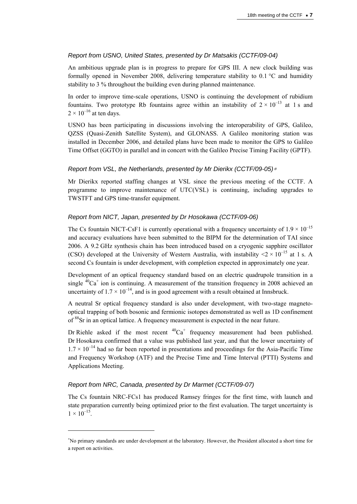# *Report from USNO, United States, presented by Dr Matsakis (CCTF/09-04)*

An ambitious upgrade plan is in progress to prepare for GPS III. A new clock building was formally opened in November 2008, delivering temperature stability to 0.1 °C and humidity stability to 3 % throughout the building even during planned maintenance.

In order to improve time-scale operations, USNO is continuing the development of rubidium fountains. Two prototype Rb fountains agree within an instability of  $2 \times 10^{-13}$  at 1 s and  $2 \times 10^{-16}$  at ten days.

USNO has been participating in discussions involving the interoperability of GPS, Galileo, QZSS (Quasi-Zenith Satellite System), and GLONASS. A Galileo monitoring station was installed in December 2006, and detailed plans have been made to monitor the GPS to Galileo Time Offset (GGTO) in parallel and in concert with the Galileo Precise Timing Facility (GPTF).

# *Report from VSL, the Netherlands, presented by Mr Dierikx (CCTF/09-05)*<sup>∗</sup>

Mr Dierikx reported staffing changes at VSL since the previous meeting of the CCTF. A programme to improve maintenance of UTC(VSL) is continuing, including upgrades to TWSTFT and GPS time-transfer equipment.

# *Report from NICT, Japan, presented by Dr Hosokawa (CCTF/09-06)*

The Cs fountain NICT-CsF1 is currently operational with a frequency uncertainty of  $1.9 \times 10^{-15}$ and accuracy evaluations have been submitted to the BIPM for the determination of TAI since 2006. A 9.2 GHz synthesis chain has been introduced based on a cryogenic sapphire oscillator (CSO) developed at the University of Western Australia, with instability  $\leq 2 \times 10^{-15}$  at 1 s. A second Cs fountain is under development, with completion expected in approximately one year.

Development of an optical frequency standard based on an electric quadrupole transition in a single  ${}^{40}Ca<sup>+</sup>$  ion is continuing. A measurement of the transition frequency in 2008 achieved an uncertainty of  $1.7 \times 10^{-14}$ , and is in good agreement with a result obtained at Innsbruck.

A neutral Sr optical frequency standard is also under development, with two-stage magnetooptical trapping of both bosonic and fermionic isotopes demonstrated as well as 1D confinement of <sup>88</sup>Sr in an optical lattice. A frequency measurement is expected in the near future.

Dr Riehle asked if the most recent  ${}^{40}Ca^+$  frequency measurement had been published. Dr Hosokawa confirmed that a value was published last year, and that the lower uncertainty of  $1.7 \times 10^{-14}$  had so far been reported in presentations and proceedings for the Asia-Pacific Time and Frequency Workshop (ATF) and the Precise Time and Time Interval (PTTI) Systems and Applications Meeting.

# *Report from NRC, Canada, presented by Dr Marmet (CCTF/09-07)*

 $\overline{a}$ 

The Cs fountain NRC-FCs1 has produced Ramsey fringes for the first time, with launch and state preparation currently being optimized prior to the first evaluation. The target uncertainty is  $1 \times 10^{-15}$ .

<sup>∗</sup> No primary standards are under development at the laboratory. However, the President allocated a short time for a report on activities.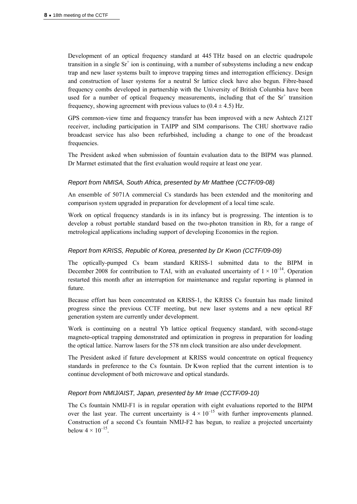Development of an optical frequency standard at 445 THz based on an electric quadrupole transition in a single  $Sr^+$  ion is continuing, with a number of subsystems including a new endcap trap and new laser systems built to improve trapping times and interrogation efficiency. Design and construction of laser systems for a neutral Sr lattice clock have also begun. Fibre-based frequency combs developed in partnership with the University of British Columbia have been used for a number of optical frequency measurements, including that of the  $Sr<sup>+</sup>$  transition frequency, showing agreement with previous values to  $(0.4 \pm 4.5)$  Hz.

GPS common-view time and frequency transfer has been improved with a new Ashtech Z12T receiver, including participation in TAIPP and SIM comparisons. The CHU shortwave radio broadcast service has also been refurbished, including a change to one of the broadcast frequencies.

The President asked when submission of fountain evaluation data to the BIPM was planned. Dr Marmet estimated that the first evaluation would require at least one year.

### *Report from NMISA, South Africa, presented by Mr Matthee (CCTF/09-08)*

An ensemble of 5071A commercial Cs standards has been extended and the monitoring and comparison system upgraded in preparation for development of a local time scale.

Work on optical frequency standards is in its infancy but is progressing. The intention is to develop a robust portable standard based on the two-photon transition in Rb, for a range of metrological applications including support of developing Economies in the region.

### *Report from KRISS, Republic of Korea, presented by Dr Kwon (CCTF/09-09)*

The optically-pumped Cs beam standard KRISS-1 submitted data to the BIPM in December 2008 for contribution to TAI, with an evaluated uncertainty of  $1 \times 10^{-14}$ . Operation restarted this month after an interruption for maintenance and regular reporting is planned in future.

Because effort has been concentrated on KRISS-1, the KRISS Cs fountain has made limited progress since the previous CCTF meeting, but new laser systems and a new optical RF generation system are currently under development.

Work is continuing on a neutral Yb lattice optical frequency standard, with second-stage magneto-optical trapping demonstrated and optimization in progress in preparation for loading the optical lattice. Narrow lasers for the 578 nm clock transition are also under development.

The President asked if future development at KRISS would concentrate on optical frequency standards in preference to the Cs fountain. Dr Kwon replied that the current intention is to continue development of both microwave and optical standards.

### *Report from NMIJ/AIST, Japan, presented by Mr Imae (CCTF/09-10)*

The Cs fountain NMIJ-F1 is in regular operation with eight evaluations reported to the BIPM over the last year. The current uncertainty is  $4 \times 10^{-15}$  with further improvements planned. Construction of a second Cs fountain NMIJ-F2 has begun, to realize a projected uncertainty below  $4 \times 10^{-15}$ .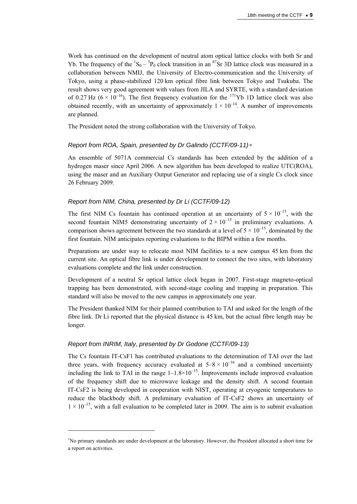Work has continued on the development of neutral atom optical lattice clocks with both Sr and Yb. The frequency of the  ${}^{1}S_{0} - {}^{3}P_{0}$  clock transition in an  ${}^{87}Sr$  3D lattice clock was measured in a collaboration between NMIJ, the University of Electro-communication and the University of Tokyo, using a phase-stabilized 120 km optical fibre link between Tokyo and Tsukuba. The result shows very good agreement with values from JILA and SYRTE, with a standard deviation of 0.27 Hz ( $6 \times 10^{-16}$ ). The first frequency evaluation for the <sup>171</sup>Yb 1D lattice clock was also obtained recently, with an uncertainty of approximately  $1 \times 10^{-14}$ . A number of improvements are planned.

The President noted the strong collaboration with the University of Tokyo.

### *Report from ROA, Spain, presented by Dr Galindo (CCTF/09-11)*<sup>∗</sup>

An ensemble of 5071A commercial Cs standards has been extended by the addition of a hydrogen maser since April 2006. A new algorithm has been developed to realize UTC(ROA), using the maser and an Auxiliary Output Generator and replacing use of a single Cs clock since 26 February 2009.

### *Report from NIM, China, presented by Dr Li (CCTF/09-12)*

The first NIM Cs fountain has continued operation at an uncertainty of  $5 \times 10^{-15}$ , with the second fountain NIM5 demonstrating uncertainty of  $2 \times 10^{-15}$  in preliminary evaluations. A comparison shows agreement between the two standards at a level of  $5 \times 10^{-15}$ , dominated by the first fountain. NIM anticipates reporting evaluations to the BIPM within a few months.

Preparations are under way to relocate most NIM facilities to a new campus 45 km from the current site. An optical fibre link is under development to connect the two sites, with laboratory evaluations complete and the link under construction.

Development of a neutral Sr optical lattice clock began in 2007. First-stage magneto-optical trapping has been demonstrated, with second-stage cooling and trapping in preparation. This standard will also be moved to the new campus in approximately one year.

The President thanked NIM for their planned contribution to TAI and asked for the length of the fibre link. Dr Li reported that the physical distance is 45 km, but the actual fibre length may be longer.

### *Report from INRIM, Italy, presented by Dr Godone (CCTF/09-13)*

 $\overline{a}$ 

The Cs fountain IT-CsF1 has contributed evaluations to the determination of TAI over the last three years, with frequency accuracy evaluated at  $5-8 \times 10^{-16}$  and a combined uncertainty including the link to TAI in the range  $1-1.8\times10^{-15}$ . Improvements include improved evaluation of the frequency shift due to microwave leakage and the density shift. A second fountain IT-CsF2 is being developed in cooperation with NIST, operating at cryogenic temperatures to reduce the blackbody shift. A preliminary evaluation of IT-CsF2 shows an uncertainty of  $1 \times 10^{-15}$ , with a full evaluation to be completed later in 2009. The aim is to submit evaluation

<sup>∗</sup> No primary standards are under development at the laboratory. However, the President allocated a short time for a report on activities.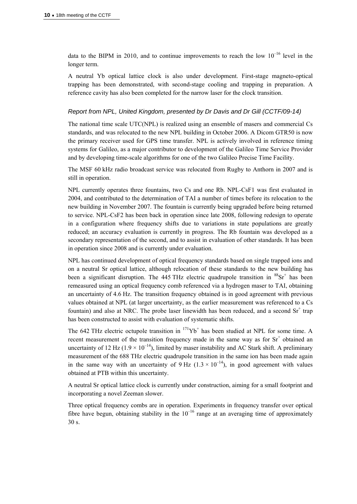data to the BIPM in 2010, and to continue improvements to reach the low  $10^{-16}$  level in the longer term.

A neutral Yb optical lattice clock is also under development. First-stage magneto-optical trapping has been demonstrated, with second-stage cooling and trapping in preparation. A reference cavity has also been completed for the narrow laser for the clock transition.

#### *Report from NPL, United Kingdom, presented by Dr Davis and Dr Gill (CCTF/09-14)*

The national time scale UTC(NPL) is realized using an ensemble of masers and commercial Cs standards, and was relocated to the new NPL building in October 2006. A Dicom GTR50 is now the primary receiver used for GPS time transfer. NPL is actively involved in reference timing systems for Galileo, as a major contributor to development of the Galileo Time Service Provider and by developing time-scale algorithms for one of the two Galileo Precise Time Facility.

The MSF 60 kHz radio broadcast service was relocated from Rugby to Anthorn in 2007 and is still in operation.

NPL currently operates three fountains, two Cs and one Rb. NPL-CsF1 was first evaluated in 2004, and contributed to the determination of TAI a number of times before its relocation to the new building in November 2007. The fountain is currently being upgraded before being returned to service. NPL-CsF2 has been back in operation since late 2008, following redesign to operate in a configuration where frequency shifts due to variations in state populations are greatly reduced; an accuracy evaluation is currently in progress. The Rb fountain was developed as a secondary representation of the second, and to assist in evaluation of other standards. It has been in operation since 2008 and is currently under evaluation.

NPL has continued development of optical frequency standards based on single trapped ions and on a neutral Sr optical lattice, although relocation of these standards to the new building has been a significant disruption. The 445 THz electric quadrupole transition in  ${}^{88}Sr^{+}$  has been remeasured using an optical frequency comb referenced via a hydrogen maser to TAI, obtaining an uncertainty of 4.6 Hz. The transition frequency obtained is in good agreement with previous values obtained at NPL (at larger uncertainty, as the earlier measurement was referenced to a Cs fountain) and also at NRC. The probe laser linewidth has been reduced, and a second  $Sr<sup>+</sup>$  trap has been constructed to assist with evaluation of systematic shifts.

The 642 THz electric octupole transition in  $171\text{Yb}^+$  has been studied at NPL for some time. A recent measurement of the transition frequency made in the same way as for  $Sr<sup>+</sup>$  obtained an uncertainty of 12 Hz (1.9  $\times$  10<sup>-14</sup>), limited by maser instability and AC Stark shift. A preliminary measurement of the 688 THz electric quadrupole transition in the same ion has been made again in the same way with an uncertainty of  $9 \text{ Hz}$  ( $1.3 \times 10^{-14}$ ), in good agreement with values obtained at PTB within this uncertainty.

A neutral Sr optical lattice clock is currently under construction, aiming for a small footprint and incorporating a novel Zeeman slower.

Three optical frequency combs are in operation. Experiments in frequency transfer over optical fibre have begun, obtaining stability in the  $10^{-16}$  range at an averaging time of approximately 30 s.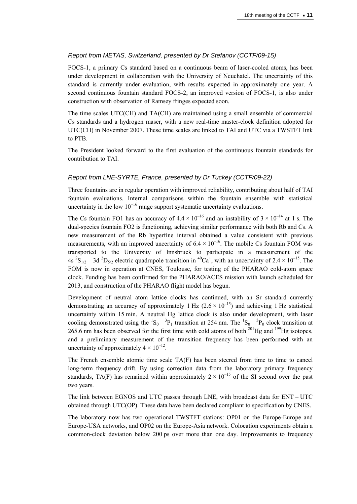# *Report from METAS, Switzerland, presented by Dr Stefanov (CCTF/09-15)*

FOCS-1, a primary Cs standard based on a continuous beam of laser-cooled atoms, has been under development in collaboration with the University of Neuchatel. The uncertainty of this standard is currently under evaluation, with results expected in approximately one year. A second continuous fountain standard FOCS-2, an improved version of FOCS-1, is also under construction with observation of Ramsey fringes expected soon.

The time scales UTC(CH) and TA(CH) are maintained using a small ensemble of commercial Cs standards and a hydrogen maser, with a new real-time master-clock definition adopted for UTC(CH) in November 2007. These time scales are linked to TAI and UTC via a TWSTFT link to PTB.

The President looked forward to the first evaluation of the continuous fountain standards for contribution to TAI.

### *Report from LNE-SYRTE, France, presented by Dr Tuckey (CCTF/09-22)*

Three fountains are in regular operation with improved reliability, contributing about half of TAI fountain evaluations. Internal comparisons within the fountain ensemble with statistical uncertainty in the low  $10^{-16}$  range support systematic uncertainty evaluations.

The Cs fountain FO1 has an accuracy of  $4.4 \times 10^{-16}$  and an instability of  $3 \times 10^{-14}$  at 1 s. The dual-species fountain FO2 is functioning, achieving similar performance with both Rb and Cs. A new measurement of the Rb hyperfine interval obtained a value consistent with previous measurements, with an improved uncertainty of  $6.4 \times 10^{-16}$ . The mobile Cs fountain FOM was transported to the University of Innsbruck to participate in a measurement of the 4s  ${}^{2}S_{1/2}$  – 3d  ${}^{2}D_{5/2}$  electric quadrupole transition in  ${}^{40}Ca^{+}$ , with an uncertainty of 2.4  $\times$  10<sup>-15</sup>. The FOM is now in operation at CNES, Toulouse, for testing of the PHARAO cold-atom space clock. Funding has been confirmed for the PHARAO/ACES mission with launch scheduled for 2013, and construction of the PHARAO flight model has begun.

Development of neutral atom lattice clocks has continued, with an Sr standard currently demonstrating an accuracy of approximately 1 Hz  $(2.6 \times 10^{-15})$  and achieving 1 Hz statistical uncertainty within 15 min. A neutral Hg lattice clock is also under development, with laser cooling demonstrated using the  ${}^{1}S_{0} - {}^{3}P_{1}$  transition at 254 nm. The  ${}^{1}S_{0} - {}^{3}P_{0}$  clock transition at 265.6 nm has been observed for the first time with cold atoms of both  $^{201}$ Hg and  $^{199}$ Hg isotopes, and a preliminary measurement of the transition frequency has been performed with an uncertainty of approximately  $4 \times 10^{-12}$ .

The French ensemble atomic time scale TA(F) has been steered from time to time to cancel long-term frequency drift. By using correction data from the laboratory primary frequency standards, TA(F) has remained within approximately  $2 \times 10^{-15}$  of the SI second over the past two years.

The link between EGNOS and UTC passes through LNE, with broadcast data for ENT – UTC obtained through UTC(OP). These data have been declared compliant to specification by CNES.

The laboratory now has two operational TWSTFT stations: OP01 on the Europe-Europe and Europe-USA networks, and OP02 on the Europe-Asia network. Colocation experiments obtain a common-clock deviation below 200 ps over more than one day. Improvements to frequency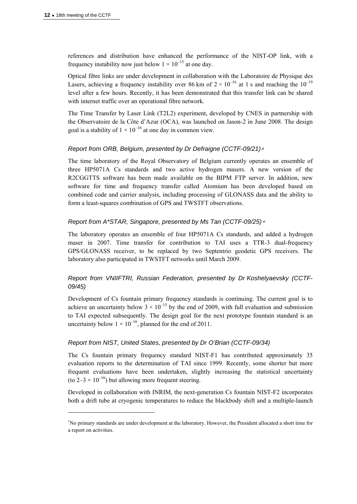$\overline{a}$ 

references and distribution have enhanced the performance of the NIST-OP link, with a frequency instability now just below  $1 \times 10^{-15}$  at one day.

Optical fibre links are under development in collaboration with the Laboratoire de Physique des Lasers, achieving a frequency instability over 86 km of  $2 \times 10^{-16}$  at 1 s and reaching the  $10^{-19}$ level after a few hours. Recently, it has been demonstrated that this transfer link can be shared with internet traffic over an operational fibre network.

The Time Transfer by Laser Link (T2L2) experiment, developed by CNES in partnership with the Observatoire de la Côte d'Azur (OCA), was launched on Jason-2 in June 2008. The design goal is a stability of  $1 \times 10^{-16}$  at one day in common view.

### *Report from ORB, Belgium, presented by Dr Defraigne (CCTF-09/21)*<sup>∗</sup>

The time laboratory of the Royal Observatory of Belgium currently operates an ensemble of three HP5071A Cs standards and two active hydrogen masers. A new version of the R2CGGTTS software has been made available on the BIPM FTP server. In addition, new software for time and frequency transfer called Atomium has been developed based on combined code and carrier analysis, including processing of GLONASS data and the ability to form a least-squares combination of GPS and TWSTFT observations.

### *Report from A\*STAR, Singapore, presented by Ms Tan (CCTF-09/25)*<sup>∗</sup>

The laboratory operates an ensemble of four HP5071A Cs standards, and added a hydrogen maser in 2007. Time transfer for contribution to TAI uses a TTR-3 dual-frequency GPS/GLONASS receiver, to be replaced by two Septentrio geodetic GPS receivers. The laboratory also participated in TWSTFT networks until March 2009.

# *Report from VNIIFTRI, Russian Federation, presented by Dr Koshelyaevsky (CCTF-09/45)*

Development of Cs fountain primary frequency standards is continuing. The current goal is to achieve an uncertainty below  $3 \times 10^{-15}$  by the end of 2009, with full evaluation and submission to TAI expected subsequently. The design goal for the next prototype fountain standard is an uncertainty below  $1 \times 10^{-16}$ , planned for the end of 2011.

### *Report from NIST, United States, presented by Dr O'Brian (CCTF-09/34)*

The Cs fountain primary frequency standard NIST-F1 has contributed approximately 35 evaluation reports to the determination of TAI since 1999. Recently, some shorter but more frequent evaluations have been undertaken, slightly increasing the statistical uncertainty (to  $2-3 \times 10^{-16}$ ) but allowing more frequent steering.

Developed in collaboration with INRIM, the next-generation Cs fountain NIST-F2 incorporates both a drift tube at cryogenic temperatures to reduce the blackbody shift and a multiple-launch

<sup>∗</sup> No primary standards are under development at the laboratory. However, the President allocated a short time for a report on activities.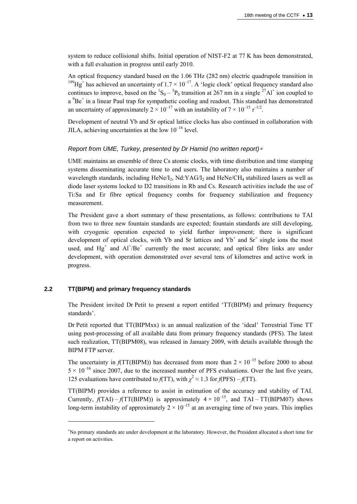system to reduce collisional shifts. Initial operation of NIST-F2 at 77 K has been demonstrated, with a full evaluation in progress until early 2010.

An optical frequency standard based on the 1.06 THz (282 nm) electric quadrupole transition in <sup>199</sup>Hg<sup>+</sup> has achieved an uncertainty of  $1.7 \times 10^{-17}$ . A 'logic clock' optical frequency standard also continues to improve, based on the  ${}^{1}S_{0} - {}^{3}P_{0}$  transition at 267 nm in a single  ${}^{27}Al^{+}$  ion coupled to  $a<sup>9</sup>Be<sup>+</sup>$  in a linear Paul trap for sympathetic cooling and readout. This standard has demonstrated an uncertainty of approximately  $2 \times 10^{-17}$  with an instability of  $7 \times 10^{-15} \tau^{-1/2}$ .

Development of neutral Yb and Sr optical lattice clocks has also continued in collaboration with JILA, achieving uncertainties at the low  $10^{-16}$  level.

### *Report from UME, Turkey, presented by Dr Hamid (no written report)*<sup>∗</sup>

UME maintains an ensemble of three Cs atomic clocks, with time distribution and time stamping systems disseminating accurate time to end users. The laboratory also maintains a number of wavelength standards, including  $HeNe/I_2$ , Nd:YAG/I<sub>2</sub> and  $HeNe/CH_4$  stabilized lasers as well as diode laser systems locked to D2 transitions in Rb and Cs. Research activities include the use of Ti:Sa and Er fibre optical frequency combs for frequency stabilization and frequency measurement.

The President gave a short summary of these presentations, as follows: contributions to TAI from two to three new fountain standards are expected; fountain standards are still developing, with cryogenic operation expected to yield further improvement; there is significant development of optical clocks, with Yb and Sr lattices and  $Yb^+$  and  $Sr^+$  single ions the most used, and  $Hg^+$  and  $Al^+/Be^+$  currently the most accurate; and optical fibre links are under development, with operation demonstrated over several tens of kilometres and active work in progress.

# **2.2 TT(BIPM) and primary frequency standards**

 $\overline{a}$ 

The President invited Dr Petit to present a report entitled 'TT(BIPM) and primary frequency standards'.

Dr Petit reported that TT(BIPMxx) is an annual realization of the 'ideal' Terrestrial Time TT using post-processing of all available data from primary frequency standards (PFS). The latest such realization, TT(BIPM08), was released in January 2009, with details available through the BIPM FTP server.

The uncertainty in  $f(TT(BIPM))$  has decreased from more than  $2 \times 10^{-15}$  before 2000 to about  $5 \times 10^{-16}$  since 2007, due to the increased number of PFS evaluations. Over the last five years, 125 evaluations have contributed to  $f(TT)$ , with  $\chi^2 \approx 1.3$  for  $f(PFS) - f(TT)$ .

TT(BIPM) provides a reference to assist in estimation of the accuracy and stability of TAI. Currently,  $f(TAI) - f(TT(BIPM))$  is approximately  $4 \times 10^{-15}$ , and  $TAI - TT(BIPM07)$  shows long-term instability of approximately  $2 \times 10^{-15}$  at an averaging time of two years. This implies

<sup>∗</sup> No primary standards are under development at the laboratory. However, the President allocated a short time for a report on activities.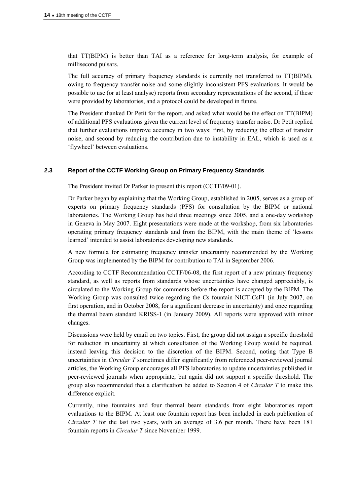that TT(BIPM) is better than TAI as a reference for long-term analysis, for example of millisecond pulsars.

The full accuracy of primary frequency standards is currently not transferred to TT(BIPM), owing to frequency transfer noise and some slightly inconsistent PFS evaluations. It would be possible to use (or at least analyse) reports from secondary representations of the second, if these were provided by laboratories, and a protocol could be developed in future.

The President thanked Dr Petit for the report, and asked what would be the effect on TT(BIPM) of additional PFS evaluations given the current level of frequency transfer noise. Dr Petit replied that further evaluations improve accuracy in two ways: first, by reducing the effect of transfer noise, and second by reducing the contribution due to instability in EAL, which is used as a 'flywheel' between evaluations.

# **2.3 Report of the CCTF Working Group on Primary Frequency Standards**

The President invited Dr Parker to present this report (CCTF/09-01).

Dr Parker began by explaining that the Working Group, established in 2005, serves as a group of experts on primary frequency standards (PFS) for consultation by the BIPM or national laboratories. The Working Group has held three meetings since 2005, and a one-day workshop in Geneva in May 2007. Eight presentations were made at the workshop, from six laboratories operating primary frequency standards and from the BIPM, with the main theme of 'lessons learned' intended to assist laboratories developing new standards.

A new formula for estimating frequency transfer uncertainty recommended by the Working Group was implemented by the BIPM for contribution to TAI in September 2006.

According to CCTF Recommendation CCTF/06-08, the first report of a new primary frequency standard, as well as reports from standards whose uncertainties have changed appreciably, is circulated to the Working Group for comments before the report is accepted by the BIPM. The Working Group was consulted twice regarding the Cs fountain NICT-CsF1 (in July 2007, on first operation, and in October 2008, for a significant decrease in uncertainty) and once regarding the thermal beam standard KRISS-1 (in January 2009). All reports were approved with minor changes.

Discussions were held by email on two topics. First, the group did not assign a specific threshold for reduction in uncertainty at which consultation of the Working Group would be required, instead leaving this decision to the discretion of the BIPM. Second, noting that Type B uncertainties in *Circular T* sometimes differ significantly from referenced peer-reviewed journal articles, the Working Group encourages all PFS laboratories to update uncertainties published in peer-reviewed journals when appropriate, but again did not support a specific threshold. The group also recommended that a clarification be added to Section 4 of *Circular T* to make this difference explicit.

Currently, nine fountains and four thermal beam standards from eight laboratories report evaluations to the BIPM. At least one fountain report has been included in each publication of *Circular T* for the last two years, with an average of 3.6 per month. There have been 181 fountain reports in *Circular T* since November 1999.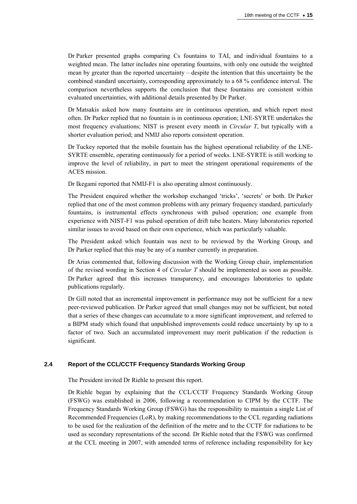Dr Parker presented graphs comparing Cs fountains to TAI, and individual fountains to a weighted mean. The latter includes nine operating fountains, with only one outside the weighted mean by greater than the reported uncertainty – despite the intention that this uncertainty be the combined standard uncertainty, corresponding approximately to a 68 % confidence interval. The comparison nevertheless supports the conclusion that these fountains are consistent within evaluated uncertainties, with additional details presented by Dr Parker.

Dr Matsakis asked how many fountains are in continuous operation, and which report most often. Dr Parker replied that no fountain is in continuous operation; LNE-SYRTE undertakes the most frequency evaluations; NIST is present every month in *Circular T*, but typically with a shorter evaluation period; and NMIJ also reports consistent operation.

Dr Tuckey reported that the mobile fountain has the highest operational reliability of the LNE-SYRTE ensemble, operating continuously for a period of weeks. LNE-SYRTE is still working to improve the level of reliability, in part to meet the stringent operational requirements of the ACES mission.

Dr Ikegami reported that NMIJ-F1 is also operating almost continuously.

The President enquired whether the workshop exchanged 'tricks', 'secrets' or both. Dr Parker replied that one of the most common problems with any primary frequency standard, particularly fountains, is instrumental effects synchronous with pulsed operation; one example from experience with NIST-F1 was pulsed operation of drift tube heaters. Many laboratories reported similar issues to avoid based on their own experience, which was particularly valuable.

The President asked which fountain was next to be reviewed by the Working Group, and Dr Parker replied that this may be any of a number currently in preparation.

Dr Arias commented that, following discussion with the Working Group chair, implementation of the revised wording in Section 4 of *Circular T* should be implemented as soon as possible. Dr Parker agreed that this increases transparency, and encourages laboratories to update publications regularly.

Dr Gill noted that an incremental improvement in performance may not be sufficient for a new peer-reviewed publication. Dr Parker agreed that small changes may not be sufficient, but noted that a series of these changes can accumulate to a more significant improvement, and referred to a BIPM study which found that unpublished improvements could reduce uncertainty by up to a factor of two. Such an accumulated improvement may merit publication if the reduction is significant.

### **2.4 Report of the CCL/CCTF Frequency Standards Working Group**

The President invited Dr Riehle to present this report.

Dr Riehle began by explaining that the CCL/CCTF Frequency Standards Working Group (FSWG) was established in 2006, following a recommendation to CIPM by the CCTF. The Frequency Standards Working Group (FSWG) has the responsibility to maintain a single List of Recommended Frequencies (LoR), by making recommendations to the CCL regarding radiations to be used for the realization of the definition of the metre and to the CCTF for radiations to be used as secondary representations of the second. Dr Riehle noted that the FSWG was confirmed at the CCL meeting in 2007, with amended terms of reference including responsibility for key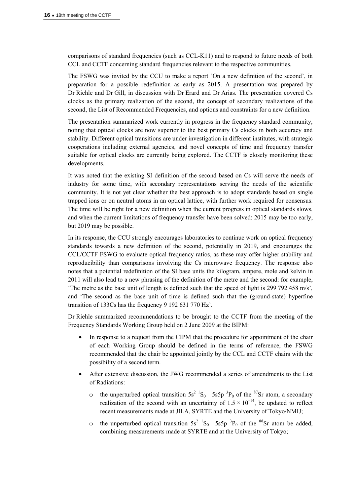comparisons of standard frequencies (such as CCL-K11) and to respond to future needs of both CCL and CCTF concerning standard frequencies relevant to the respective communities.

The FSWG was invited by the CCU to make a report 'On a new definition of the second', in preparation for a possible redefinition as early as 2015. A presentation was prepared by Dr Riehle and Dr Gill, in discussion with Dr Erard and Dr Arias. The presentation covered Cs clocks as the primary realization of the second, the concept of secondary realizations of the second, the List of Recommended Frequencies, and options and constraints for a new definition.

The presentation summarized work currently in progress in the frequency standard community, noting that optical clocks are now superior to the best primary Cs clocks in both accuracy and stability. Different optical transitions are under investigation in different institutes, with strategic cooperations including external agencies, and novel concepts of time and frequency transfer suitable for optical clocks are currently being explored. The CCTF is closely monitoring these developments.

It was noted that the existing SI definition of the second based on Cs will serve the needs of industry for some time, with secondary representations serving the needs of the scientific community. It is not yet clear whether the best approach is to adopt standards based on single trapped ions or on neutral atoms in an optical lattice, with further work required for consensus. The time will be right for a new definition when the current progress in optical standards slows, and when the current limitations of frequency transfer have been solved: 2015 may be too early, but 2019 may be possible.

In its response, the CCU strongly encourages laboratories to continue work on optical frequency standards towards a new definition of the second, potentially in 2019, and encourages the CCL/CCTF FSWG to evaluate optical frequency ratios, as these may offer higher stability and reproducibility than comparisons involving the Cs microwave frequency. The response also notes that a potential redefinition of the SI base units the kilogram, ampere, mole and kelvin in 2011 will also lead to a new phrasing of the definition of the metre and the second: for example, 'The metre as the base unit of length is defined such that the speed of light is 299 792 458 m/s', and 'The second as the base unit of time is defined such that the (ground-state) hyperfine transition of 133Cs has the frequency 9 192 631 770 Hz'.

Dr Riehle summarized recommendations to be brought to the CCTF from the meeting of the Frequency Standards Working Group held on 2 June 2009 at the BIPM:

- In response to a request from the CIPM that the procedure for appointment of the chair of each Working Group should be defined in the terms of reference, the FSWG recommended that the chair be appointed jointly by the CCL and CCTF chairs with the possibility of a second term.
- After extensive discussion, the JWG recommended a series of amendments to the List of Radiations:
	- o the unperturbed optical transition  $5s^2$   ${}^1S_0 5s5p$   ${}^3P_0$  of the  ${}^{87}Sr$  atom, a secondary realization of the second with an uncertainty of  $1.5 \times 10^{-14}$ , be updated to reflect recent measurements made at JILA, SYRTE and the University of Tokyo/NMIJ;
	- o the unperturbed optical transition  $5s^2$   ${}^1S_0 5s5p$   ${}^3P_0$  of the  ${}^{88}Sr$  atom be added, combining measurements made at SYRTE and at the University of Tokyo;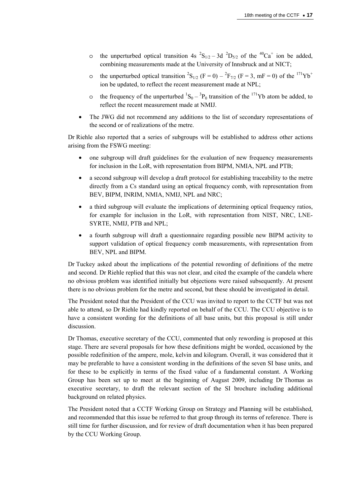- o the unperturbed optical transition 4s  ${}^{2}S_{1/2} 3d \ {}^{2}D_{5/2}$  of the  ${}^{40}Ca^{+}$  ion be added, combining measurements made at the University of Innsbruck and at NICT;
- o the unperturbed optical transition  ${}^{2}S_{1/2}$  (F = 0)  ${}^{2}F_{7/2}$  (F = 3, mF = 0) of the  ${}^{171}Yb^{+}$ ion be updated, to reflect the recent measurement made at NPL;
- o the frequency of the unperturbed  ${}^{1}S_{0} {}^{3}P_{0}$  transition of the  ${}^{171}Yb$  atom be added, to reflect the recent measurement made at NMIJ.
- The JWG did not recommend any additions to the list of secondary representations of the second or of realizations of the metre.

Dr Riehle also reported that a series of subgroups will be established to address other actions arising from the FSWG meeting:

- one subgroup will draft guidelines for the evaluation of new frequency measurements for inclusion in the LoR, with representation from BIPM, NMIA, NPL and PTB;
- a second subgroup will develop a draft protocol for establishing traceability to the metre directly from a Cs standard using an optical frequency comb, with representation from BEV, BIPM, INRIM, NMIA, NMIJ, NPL and NRC;
- a third subgroup will evaluate the implications of determining optical frequency ratios, for example for inclusion in the LoR, with representation from NIST, NRC, LNE-SYRTE, NMIJ, PTB and NPL;
- a fourth subgroup will draft a questionnaire regarding possible new BIPM activity to support validation of optical frequency comb measurements, with representation from BEV, NPL and BIPM.

Dr Tuckey asked about the implications of the potential rewording of definitions of the metre and second. Dr Riehle replied that this was not clear, and cited the example of the candela where no obvious problem was identified initially but objections were raised subsequently. At present there is no obvious problem for the metre and second, but these should be investigated in detail.

The President noted that the President of the CCU was invited to report to the CCTF but was not able to attend, so Dr Riehle had kindly reported on behalf of the CCU. The CCU objective is to have a consistent wording for the definitions of all base units, but this proposal is still under discussion.

Dr Thomas, executive secretary of the CCU, commented that only rewording is proposed at this stage. There are several proposals for how these definitions might be worded, occasioned by the possible redefinition of the ampere, mole, kelvin and kilogram. Overall, it was considered that it may be preferable to have a consistent wording in the definitions of the seven SI base units, and for these to be explicitly in terms of the fixed value of a fundamental constant. A Working Group has been set up to meet at the beginning of August 2009, including Dr Thomas as executive secretary, to draft the relevant section of the SI brochure including additional background on related physics.

The President noted that a CCTF Working Group on Strategy and Planning will be established, and recommended that this issue be referred to that group through its terms of reference. There is still time for further discussion, and for review of draft documentation when it has been prepared by the CCU Working Group.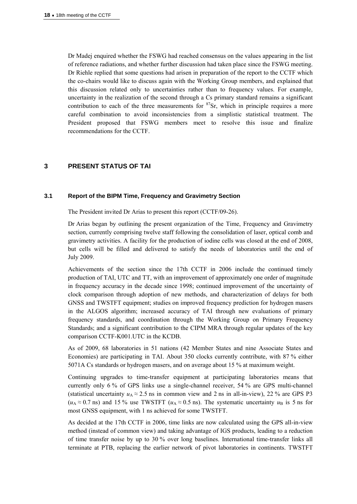Dr Madej enquired whether the FSWG had reached consensus on the values appearing in the list of reference radiations, and whether further discussion had taken place since the FSWG meeting. Dr Riehle replied that some questions had arisen in preparation of the report to the CCTF which the co-chairs would like to discuss again with the Working Group members, and explained that this discussion related only to uncertainties rather than to frequency values. For example, uncertainty in the realization of the second through a Cs primary standard remains a significant contribution to each of the three measurements for  ${}^{87}Sr$ , which in principle requires a more careful combination to avoid inconsistencies from a simplistic statistical treatment. The President proposed that FSWG members meet to resolve this issue and finalize recommendations for the CCTF.

# **3 PRESENT STATUS OF TAI**

### **3.1 Report of the BIPM Time, Frequency and Gravimetry Section**

The President invited Dr Arias to present this report (CCTF/09-26).

Dr Arias began by outlining the present organization of the Time, Frequency and Gravimetry section, currently comprising twelve staff following the consolidation of laser, optical comb and gravimetry activities. A facility for the production of iodine cells was closed at the end of 2008, but cells will be filled and delivered to satisfy the needs of laboratories until the end of July 2009.

Achievements of the section since the 17th CCTF in 2006 include the continued timely production of TAI, UTC and TT, with an improvement of approximately one order of magnitude in frequency accuracy in the decade since 1998; continued improvement of the uncertainty of clock comparison through adoption of new methods, and characterization of delays for both GNSS and TWSTFT equipment; studies on improved frequency prediction for hydrogen masers in the ALGOS algorithm; increased accuracy of TAI through new evaluations of primary frequency standards, and coordination through the Working Group on Primary Frequency Standards; and a significant contribution to the CIPM MRA through regular updates of the key comparison CCTF-K001.UTC in the KCDB.

As of 2009, 68 laboratories in 51 nations (42 Member States and nine Associate States and Economies) are participating in TAI. About 350 clocks currently contribute, with 87 % either 5071A Cs standards or hydrogen masers, and on average about 15 % at maximum weight.

Continuing upgrades to time-transfer equipment at participating laboratories means that currently only 6 % of GPS links use a single-channel receiver, 54 % are GPS multi-channel (statistical uncertainty  $u_A \approx 2.5$  ns in common view and 2 ns in all-in-view), 22 % are GPS P3  $(u_A \approx 0.7 \text{ ns})$  and 15 % use TWSTFT  $(u_A \approx 0.5 \text{ ns})$ . The systematic uncertainty  $u_B$  is 5 ns for most GNSS equipment, with 1 ns achieved for some TWSTFT.

As decided at the 17th CCTF in 2006, time links are now calculated using the GPS all-in-view method (instead of common view) and taking advantage of IGS products, leading to a reduction of time transfer noise by up to 30 % over long baselines. International time-transfer links all terminate at PTB, replacing the earlier network of pivot laboratories in continents. TWSTFT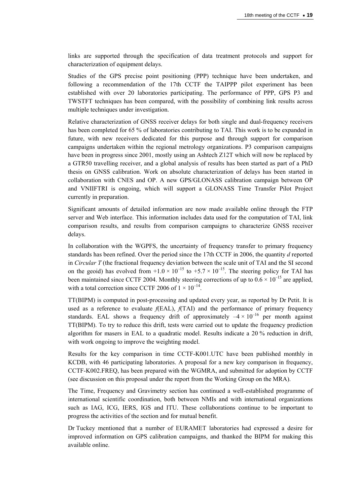links are supported through the specification of data treatment protocols and support for characterization of equipment delays.

Studies of the GPS precise point positioning (PPP) technique have been undertaken, and following a recommendation of the 17th CCTF the TAIPPP pilot experiment has been established with over 20 laboratories participating. The performance of PPP, GPS P3 and TWSTFT techniques has been compared, with the possibility of combining link results across multiple techniques under investigation.

Relative characterization of GNSS receiver delays for both single and dual-frequency receivers has been completed for 65 % of laboratories contributing to TAI. This work is to be expanded in future, with new receivers dedicated for this purpose and through support for comparison campaigns undertaken within the regional metrology organizations. P3 comparison campaigns have been in progress since 2001, mostly using an Ashtech Z12T which will now be replaced by a GTR50 travelling receiver, and a global analysis of results has been started as part of a PhD thesis on GNSS calibration. Work on absolute characterization of delays has been started in collaboration with CNES and OP. A new GPS/GLONASS calibration campaign between OP and VNIIFTRI is ongoing, which will support a GLONASS Time Transfer Pilot Project currently in preparation.

Significant amounts of detailed information are now made available online through the FTP server and Web interface. This information includes data used for the computation of TAI, link comparison results, and results from comparison campaigns to characterize GNSS receiver delays.

In collaboration with the WGPFS, the uncertainty of frequency transfer to primary frequency standards has been refined. Over the period since the 17th CCTF in 2006, the quantity *d* reported in *Circular T* (the fractional frequency deviation between the scale unit of TAI and the SI second on the geoid) has evolved from  $+1.0 \times 10^{-15}$  to  $+5.7 \times 10^{-15}$ . The steering policy for TAI has been maintained since CCTF 2004. Monthly steering corrections of up to  $0.6 \times 10^{-15}$  are applied, with a total correction since CCTF 2006 of  $1 \times 10^{-14}$ .

TT(BIPM) is computed in post-processing and updated every year, as reported by Dr Petit. It is used as a reference to evaluate  $f(EAL)$ ,  $f(TAI)$  and the performance of primary frequency standards. EAL shows a frequency drift of approximately  $-4 \times 10^{-16}$  per month against TT(BIPM). To try to reduce this drift, tests were carried out to update the frequency prediction algorithm for masers in EAL to a quadratic model. Results indicate a 20 % reduction in drift, with work ongoing to improve the weighting model.

Results for the key comparison in time CCTF-K001.UTC have been published monthly in KCDB, with 46 participating laboratories. A proposal for a new key comparison in frequency, CCTF-K002.FREQ, has been prepared with the WGMRA, and submitted for adoption by CCTF (see discussion on this proposal under the report from the Working Group on the MRA).

The Time, Frequency and Gravimetry section has continued a well-established programme of international scientific coordination, both between NMIs and with international organizations such as IAG, ICG, IERS, IGS and ITU. These collaborations continue to be important to progress the activities of the section and for mutual benefit.

Dr Tuckey mentioned that a number of EURAMET laboratories had expressed a desire for improved information on GPS calibration campaigns, and thanked the BIPM for making this available online.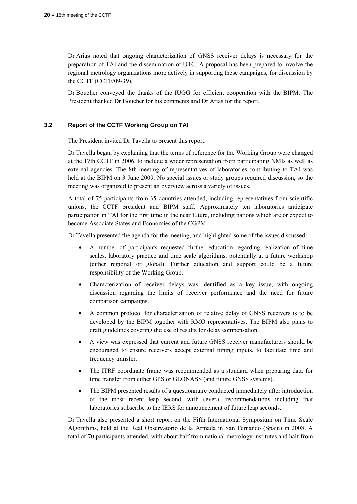Dr Arias noted that ongoing characterization of GNSS receiver delays is necessary for the preparation of TAI and the dissemination of UTC. A proposal has been prepared to involve the regional metrology organizations more actively in supporting these campaigns, for discussion by the CCTF (CCTF/09-39).

Dr Boucher conveyed the thanks of the IUGG for efficient cooperation with the BIPM. The President thanked Dr Boucher for his comments and Dr Arias for the report.

### **3.2 Report of the CCTF Working Group on TAI**

The President invited Dr Tavella to present this report.

Dr Tavella began by explaining that the terms of reference for the Working Group were changed at the 17th CCTF in 2006, to include a wider representation from participating NMIs as well as external agencies. The 8th meeting of representatives of laboratories contributing to TAI was held at the BIPM on 3 June 2009. No special issues or study groups required discussion, so the meeting was organized to present an overview across a variety of issues.

A total of 75 participants from 35 countries attended, including representatives from scientific unions, the CCTF president and BIPM staff. Approximately ten laboratories anticipate participation in TAI for the first time in the near future, including nations which are or expect to become Associate States and Economies of the CGPM.

Dr Tavella presented the agenda for the meeting, and highlighted some of the issues discussed:

- A number of participants requested further education regarding realization of time scales, laboratory practice and time scale algorithms, potentially at a future workshop (either regional or global). Further education and support could be a future responsibility of the Working Group.
- Characterization of receiver delays was identified as a key issue, with ongoing discussion regarding the limits of receiver performance and the need for future comparison campaigns.
- A common protocol for characterization of relative delay of GNSS receivers is to be developed by the BIPM together with RMO representatives. The BIPM also plans to draft guidelines covering the use of results for delay compensation.
- A view was expressed that current and future GNSS receiver manufacturers should be encouraged to ensure receivers accept external timing inputs, to facilitate time and frequency transfer.
- The ITRF coordinate frame was recommended as a standard when preparing data for time transfer from either GPS or GLONASS (and future GNSS systems).
- The BIPM presented results of a questionnaire conducted immediately after introduction of the most recent leap second, with several recommendations including that laboratories subscribe to the IERS for announcement of future leap seconds.

Dr Tavella also presented a short report on the Fifth International Symposium on Time Scale Algorithms, held at the Real Observatorio de la Armada in San Fernando (Spain) in 2008. A total of 70 participants attended, with about half from national metrology institutes and half from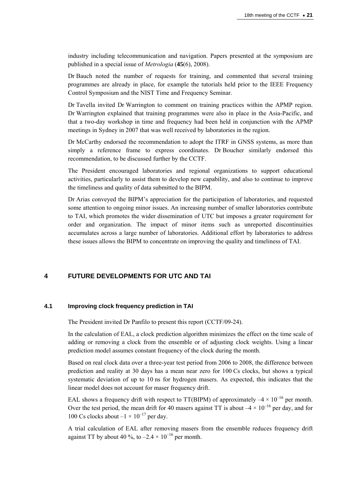industry including telecommunication and navigation. Papers presented at the symposium are published in a special issue of *Metrologia* (**45**(6), 2008).

Dr Bauch noted the number of requests for training, and commented that several training programmes are already in place, for example the tutorials held prior to the IEEE Frequency Control Symposium and the NIST Time and Frequency Seminar.

Dr Tavella invited Dr Warrington to comment on training practices within the APMP region. Dr Warrington explained that training programmes were also in place in the Asia-Pacific, and that a two-day workshop in time and frequency had been held in conjunction with the APMP meetings in Sydney in 2007 that was well received by laboratories in the region.

Dr McCarthy endorsed the recommendation to adopt the ITRF in GNSS systems, as more than simply a reference frame to express coordinates. Dr Boucher similarly endorsed this recommendation, to be discussed further by the CCTF.

The President encouraged laboratories and regional organizations to support educational activities, particularly to assist them to develop new capability, and also to continue to improve the timeliness and quality of data submitted to the BIPM.

Dr Arias conveyed the BIPM's appreciation for the participation of laboratories, and requested some attention to ongoing minor issues. An increasing number of smaller laboratories contribute to TAI, which promotes the wider dissemination of UTC but imposes a greater requirement for order and organization. The impact of minor items such as unreported discontinuities accumulates across a large number of laboratories. Additional effort by laboratories to address these issues allows the BIPM to concentrate on improving the quality and timeliness of TAI.

# **4 FUTURE DEVELOPMENTS FOR UTC AND TAI**

# **4.1 Improving clock frequency prediction in TAI**

The President invited Dr Panfilo to present this report (CCTF/09-24).

In the calculation of EAL, a clock prediction algorithm minimizes the effect on the time scale of adding or removing a clock from the ensemble or of adjusting clock weights. Using a linear prediction model assumes constant frequency of the clock during the month.

Based on real clock data over a three-year test period from 2006 to 2008, the difference between prediction and reality at 30 days has a mean near zero for 100 Cs clocks, but shows a typical systematic deviation of up to 10 ns for hydrogen masers. As expected, this indicates that the linear model does not account for maser frequency drift.

EAL shows a frequency drift with respect to TT(BIPM) of approximately  $-4 \times 10^{-16}$  per month. Over the test period, the mean drift for 40 masers against TT is about  $-4 \times 10^{-16}$  per day, and for 100 Cs clocks about  $-1 \times 10^{-17}$  per day.

A trial calculation of EAL after removing masers from the ensemble reduces frequency drift against TT by about 40 %, to  $-2.4 \times 10^{-16}$  per month.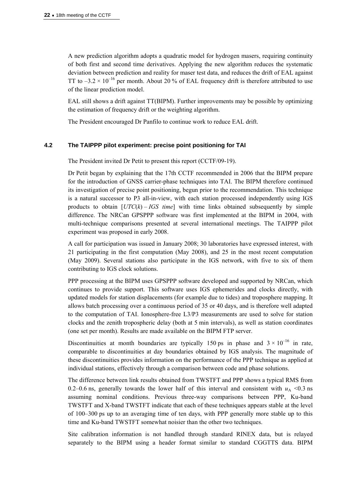A new prediction algorithm adopts a quadratic model for hydrogen masers, requiring continuity of both first and second time derivatives. Applying the new algorithm reduces the systematic deviation between prediction and reality for maser test data, and reduces the drift of EAL against TT to  $-3.2 \times 10^{-16}$  per month. About 20 % of EAL frequency drift is therefore attributed to use of the linear prediction model.

EAL still shows a drift against TT(BIPM). Further improvements may be possible by optimizing the estimation of frequency drift or the weighting algorithm.

The President encouraged Dr Panfilo to continue work to reduce EAL drift.

### **4.2 The TAIPPP pilot experiment: precise point positioning for TAI**

The President invited Dr Petit to present this report (CCTF/09-19).

Dr Petit began by explaining that the 17th CCTF recommended in 2006 that the BIPM prepare for the introduction of GNSS carrier-phase techniques into TAI. The BIPM therefore continued its investigation of precise point positioning, begun prior to the recommendation. This technique is a natural successor to P3 all-in-view, with each station processed independently using IGS products to obtain [*UTC*(*k*) – *IGS time*] with time links obtained subsequently by simple difference. The NRCan GPSPPP software was first implemented at the BIPM in 2004, with multi-technique comparisons presented at several international meetings. The TAIPPP pilot experiment was proposed in early 2008.

A call for participation was issued in January 2008; 30 laboratories have expressed interest, with 21 participating in the first computation (May 2008), and 25 in the most recent computation (May 2009). Several stations also participate in the IGS network, with five to six of them contributing to IGS clock solutions.

PPP processing at the BIPM uses GPSPPP software developed and supported by NRCan, which continues to provide support. This software uses IGS ephemerides and clocks directly, with updated models for station displacements (for example due to tides) and troposphere mapping. It allows batch processing over a continuous period of 35 or 40 days, and is therefore well adapted to the computation of TAI. Ionosphere-free L3/P3 measurements are used to solve for station clocks and the zenith tropospheric delay (both at 5 min intervals), as well as station coordinates (one set per month). Results are made available on the BIPM FTP server.

Discontinuities at month boundaries are typically 150 ps in phase and  $3 \times 10^{-16}$  in rate, comparable to discontinuities at day boundaries obtained by IGS analysis. The magnitude of these discontinuities provides information on the performance of the PPP technique as applied at individual stations, effectively through a comparison between code and phase solutions.

The difference between link results obtained from TWSTFT and PPP shows a typical RMS from 0.2–0.6 ns, generally towards the lower half of this interval and consistent with  $u_A < 0.3$  ns assuming nominal conditions. Previous three-way comparisons between PPP, Ku-band TWSTFT and X-band TWSTFT indicate that each of these techniques appears stable at the level of 100–300 ps up to an averaging time of ten days, with PPP generally more stable up to this time and Ku-band TWSTFT somewhat noisier than the other two techniques.

Site calibration information is not handled through standard RINEX data, but is relayed separately to the BIPM using a header format similar to standard CGGTTS data. BIPM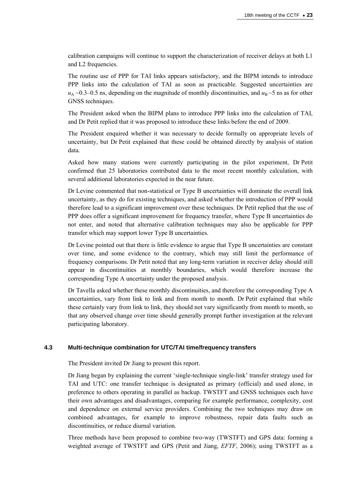calibration campaigns will continue to support the characterization of receiver delays at both L1 and L2 frequencies.

The routine use of PPP for TAI links appears satisfactory, and the BIPM intends to introduce PPP links into the calculation of TAI as soon as practicable. Suggested uncertainties are  $u_A \sim 0.3$ –0.5 ns, depending on the magnitude of monthly discontinuities, and  $u_B \sim 5$  ns as for other GNSS techniques.

The President asked when the BIPM plans to introduce PPP links into the calculation of TAI, and Dr Petit replied that it was proposed to introduce these links before the end of 2009.

The President enquired whether it was necessary to decide formally on appropriate levels of uncertainty, but Dr Petit explained that these could be obtained directly by analysis of station data.

Asked how many stations were currently participating in the pilot experiment, Dr Petit confirmed that 25 laboratories contributed data to the most recent monthly calculation, with several additional laboratories expected in the near future.

Dr Levine commented that non-statistical or Type B uncertainties will dominate the overall link uncertainty, as they do for existing techniques, and asked whether the introduction of PPP would therefore lead to a significant improvement over these techniques. Dr Petit replied that the use of PPP does offer a significant improvement for frequency transfer, where Type B uncertainties do not enter, and noted that alternative calibration techniques may also be applicable for PPP transfer which may support lower Type B uncertainties.

Dr Levine pointed out that there is little evidence to argue that Type B uncertainties are constant over time, and some evidence to the contrary, which may still limit the performance of frequency comparisons. Dr Petit noted that any long-term variation in receiver delay should still appear in discontinuities at monthly boundaries, which would therefore increase the corresponding Type A uncertainty under the proposed analysis.

Dr Tavella asked whether these monthly discontinuities, and therefore the corresponding Type A uncertainties, vary from link to link and from month to month. Dr Petit explained that while these certainly vary from link to link, they should not vary significantly from month to month, so that any observed change over time should generally prompt further investigation at the relevant participating laboratory.

# **4.3 Multi-technique combination for UTC/TAI time/frequency transfers**

The President invited Dr Jiang to present this report.

Dr Jiang began by explaining the current 'single-technique single-link' transfer strategy used for TAI and UTC: one transfer technique is designated as primary (official) and used alone, in preference to others operating in parallel as backup. TWSTFT and GNSS techniques each have their own advantages and disadvantages, comparing for example performance, complexity, cost and dependence on external service providers. Combining the two techniques may draw on combined advantages, for example to improve robustness, repair data faults such as discontinuities, or reduce diurnal variation.

Three methods have been proposed to combine two-way (TWSTFT) and GPS data: forming a weighted average of TWSTFT and GPS (Petit and Jiang, *EFTF*, 2006); using TWSTFT as a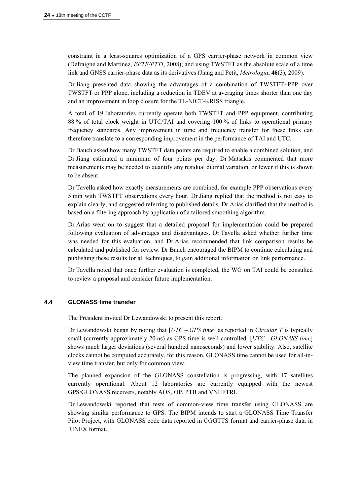constraint in a least-squares optimization of a GPS carrier-phase network in common view (Defraigne and Martinez, *EFTF/PTTI*, 2008); and using TWSTFT as the absolute scale of a time link and GNSS carrier-phase data as its derivatives (Jiang and Petit, *Metrologia*, **46**(3), 2009).

Dr Jiang presented data showing the advantages of a combination of TWSTFT+PPP over TWSTFT or PPP alone, including a reduction in TDEV at averaging times shorter than one day and an improvement in loop closure for the TL-NICT-KRISS triangle.

A total of 19 laboratories currently operate both TWSTFT and PPP equipment, contributing 88 % of total clock weight in UTC/TAI and covering 100 % of links to operational primary frequency standards. Any improvement in time and frequency transfer for these links can therefore translate to a corresponding improvement in the performance of TAI and UTC.

Dr Bauch asked how many TWSTFT data points are required to enable a combined solution, and Dr Jiang estimated a minimum of four points per day. Dr Matsakis commented that more measurements may be needed to quantify any residual diurnal variation, or fewer if this is shown to be absent.

Dr Tavella asked how exactly measurements are combined, for example PPP observations every 5 min with TWSTFT observations every hour. Dr Jiang replied that the method is not easy to explain clearly, and suggested referring to published details. Dr Arias clarified that the method is based on a filtering approach by application of a tailored smoothing algorithm.

Dr Arias went on to suggest that a detailed proposal for implementation could be prepared following evaluation of advantages and disadvantages. Dr Tavella asked whether further time was needed for this evaluation, and Dr Arias recommended that link comparison results be calculated and published for review. Dr Bauch encouraged the BIPM to continue calculating and publishing these results for all techniques, to gain additional information on link performance.

Dr Tavella noted that once further evaluation is completed, the WG on TAI could be consulted to review a proposal and consider future implementation.

### **4.4 GLONASS time transfer**

The President invited Dr Lewandowski to present this report.

Dr Lewandowski began by noting that [*UTC – GPS time*] as reported in *Circular T* is typically small (currently approximately 20 ns) as GPS time is well controlled. [*UTC – GLONASS time*] shows much larger deviations (several hundred nanoseconds) and lower stability. Also, satellite clocks cannot be computed accurately, for this reason, GLONASS time cannot be used for all-inview time transfer, but only for common view.

The planned expansion of the GLONASS constellation is progressing, with 17 satellites currently operational. About 12 laboratories are currently equipped with the newest GPS/GLONASS receivers, notably AOS, OP, PTB and VNIIFTRI.

Dr Lewandowski reported that tests of common-view time transfer using GLONASS are showing similar performance to GPS. The BIPM intends to start a GLONASS Time Transfer Pilot Project, with GLONASS code data reported in CGGTTS format and carrier-phase data in RINEX format.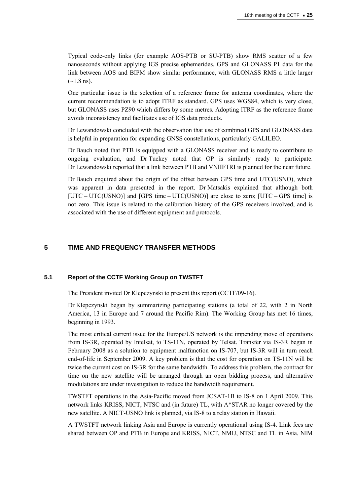Typical code-only links (for example AOS-PTB or SU-PTB) show RMS scatter of a few nanoseconds without applying IGS precise ephemerides. GPS and GLONASS P1 data for the link between AOS and BIPM show similar performance, with GLONASS RMS a little larger  $(-1.8 \text{ ns})$ .

One particular issue is the selection of a reference frame for antenna coordinates, where the current recommendation is to adopt ITRF as standard. GPS uses WGS84, which is very close, but GLONASS uses PZ90 which differs by some metres. Adopting ITRF as the reference frame avoids inconsistency and facilitates use of IGS data products.

Dr Lewandowski concluded with the observation that use of combined GPS and GLONASS data is helpful in preparation for expanding GNSS constellations, particularly GALILEO.

Dr Bauch noted that PTB is equipped with a GLONASS receiver and is ready to contribute to ongoing evaluation, and Dr Tuckey noted that OP is similarly ready to participate. Dr Lewandowski reported that a link between PTB and VNIIFTRI is planned for the near future.

Dr Bauch enquired about the origin of the offset between GPS time and UTC(USNO), which was apparent in data presented in the report. Dr Matsakis explained that although both [UTC – UTC(USNO)] and [GPS time – UTC(USNO)] are close to zero; [UTC – GPS time] is not zero. This issue is related to the calibration history of the GPS receivers involved, and is associated with the use of different equipment and protocols.

# **5 TIME AND FREQUENCY TRANSFER METHODS**

### **5.1 Report of the CCTF Working Group on TWSTFT**

The President invited Dr Klepczynski to present this report (CCTF/09-16).

Dr Klepczynski began by summarizing participating stations (a total of 22, with 2 in North America, 13 in Europe and 7 around the Pacific Rim). The Working Group has met 16 times, beginning in 1993.

The most critical current issue for the Europe/US network is the impending move of operations from IS-3R, operated by Intelsat, to TS-11N, operated by Telsat. Transfer via IS-3R began in February 2008 as a solution to equipment malfunction on IS-707, but IS-3R will in turn reach end-of-life in September 2009. A key problem is that the cost for operation on TS-11N will be twice the current cost on IS-3R for the same bandwidth. To address this problem, the contract for time on the new satellite will be arranged through an open bidding process, and alternative modulations are under investigation to reduce the bandwidth requirement.

TWSTFT operations in the Asia-Pacific moved from JCSAT-1B to IS-8 on 1 April 2009. This network links KRISS, NICT, NTSC and (in future) TL, with A\*STAR no longer covered by the new satellite. A NICT-USNO link is planned, via IS-8 to a relay station in Hawaii.

A TWSTFT network linking Asia and Europe is currently operational using IS-4. Link fees are shared between OP and PTB in Europe and KRISS, NICT, NMIJ, NTSC and TL in Asia. NIM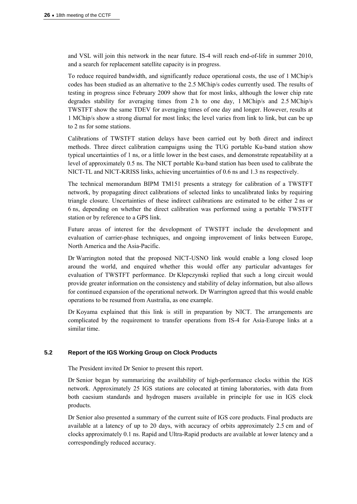and VSL will join this network in the near future. IS-4 will reach end-of-life in summer 2010, and a search for replacement satellite capacity is in progress.

To reduce required bandwidth, and significantly reduce operational costs, the use of 1 MChip/s codes has been studied as an alternative to the 2.5 MChip/s codes currently used. The results of testing in progress since February 2009 show that for most links, although the lower chip rate degrades stability for averaging times from 2 h to one day, 1 MChip/s and 2.5 MChip/s TWSTFT show the same TDEV for averaging times of one day and longer. However, results at 1 MChip/s show a strong diurnal for most links; the level varies from link to link, but can be up to 2 ns for some stations.

Calibrations of TWSTFT station delays have been carried out by both direct and indirect methods. Three direct calibration campaigns using the TUG portable Ku-band station show typical uncertainties of 1 ns, or a little lower in the best cases, and demonstrate repeatability at a level of approximately 0.5 ns. The NICT portable Ku-band station has been used to calibrate the NICT-TL and NICT-KRISS links, achieving uncertainties of 0.6 ns and 1.3 ns respectively.

The technical memorandum BIPM TM151 presents a strategy for calibration of a TWSTFT network, by propagating direct calibrations of selected links to uncalibrated links by requiring triangle closure. Uncertainties of these indirect calibrations are estimated to be either 2 ns or 6 ns, depending on whether the direct calibration was performed using a portable TWSTFT station or by reference to a GPS link.

Future areas of interest for the development of TWSTFT include the development and evaluation of carrier-phase techniques, and ongoing improvement of links between Europe, North America and the Asia-Pacific.

Dr Warrington noted that the proposed NICT-USNO link would enable a long closed loop around the world, and enquired whether this would offer any particular advantages for evaluation of TWSTFT performance. Dr Klepczynski replied that such a long circuit would provide greater information on the consistency and stability of delay information, but also allows for continued expansion of the operational network. Dr Warrington agreed that this would enable operations to be resumed from Australia, as one example.

Dr Koyama explained that this link is still in preparation by NICT. The arrangements are complicated by the requirement to transfer operations from IS-4 for Asia-Europe links at a similar time.

### **5.2 Report of the IGS Working Group on Clock Products**

The President invited Dr Senior to present this report.

Dr Senior began by summarizing the availability of high-performance clocks within the IGS network. Approximately 25 IGS stations are colocated at timing laboratories, with data from both caesium standards and hydrogen masers available in principle for use in IGS clock products.

Dr Senior also presented a summary of the current suite of IGS core products. Final products are available at a latency of up to 20 days, with accuracy of orbits approximately 2.5 cm and of clocks approximately 0.1 ns. Rapid and Ultra-Rapid products are available at lower latency and a correspondingly reduced accuracy.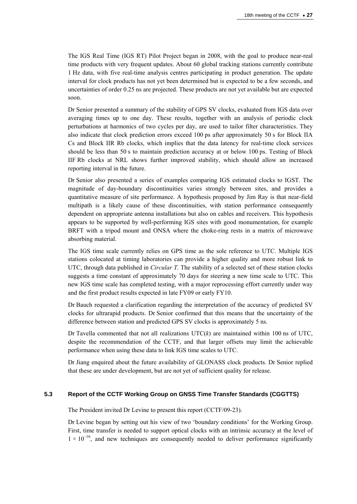The IGS Real Time (IGS RT) Pilot Project began in 2008, with the goal to produce near-real time products with very frequent updates. About 60 global tracking stations currently contribute 1 Hz data, with five real-time analysis centres participating in product generation. The update interval for clock products has not yet been determined but is expected to be a few seconds, and uncertainties of order 0.25 ns are projected. These products are not yet available but are expected soon.

Dr Senior presented a summary of the stability of GPS SV clocks, evaluated from IGS data over averaging times up to one day. These results, together with an analysis of periodic clock perturbations at harmonics of two cycles per day, are used to tailor filter characteristics. They also indicate that clock prediction errors exceed 100 ps after approximately 50 s for Block IIA Cs and Block IIR Rb clocks, which implies that the data latency for real-time clock services should be less than 50 s to maintain prediction accuracy at or below 100 ps. Testing of Block IIF Rb clocks at NRL shows further improved stability, which should allow an increased reporting interval in the future.

Dr Senior also presented a series of examples comparing IGS estimated clocks to IGST. The magnitude of day-boundary discontinuities varies strongly between sites, and provides a quantitative measure of site performance. A hypothesis proposed by Jim Ray is that near-field multipath is a likely cause of these discontinuities, with station performance consequently dependent on appropriate antenna installations but also on cables and receivers. This hypothesis appears to be supported by well-performing IGS sites with good monumentation, for example BRFT with a tripod mount and ONSA where the choke-ring rests in a matrix of microwave absorbing material.

The IGS time scale currently relies on GPS time as the sole reference to UTC. Multiple IGS stations colocated at timing laboratories can provide a higher quality and more robust link to UTC, through data published in *Circular T*. The stability of a selected set of these station clocks suggests a time constant of approximately 70 days for steering a new time scale to UTC. This new IGS time scale has completed testing, with a major reprocessing effort currently under way and the first product results expected in late FY09 or early FY10.

Dr Bauch requested a clarification regarding the interpretation of the accuracy of predicted SV clocks for ultrarapid products. Dr Senior confirmed that this means that the uncertainty of the difference between station and predicted GPS SV clocks is approximately 5 ns.

Dr Tavella commented that not all realizations UTC(*k*) are maintained within 100 ns of UTC, despite the recommendation of the CCTF, and that larger offsets may limit the achievable performance when using these data to link IGS time scales to UTC.

Dr Jiang enquired about the future availability of GLONASS clock products. Dr Senior replied that these are under development, but are not yet of sufficient quality for release.

### **5.3 Report of the CCTF Working Group on GNSS Time Transfer Standards (CGGTTS)**

The President invited Dr Levine to present this report (CCTF/09-23).

Dr Levine began by setting out his view of two 'boundary conditions' for the Working Group. First, time transfer is needed to support optical clocks with an intrinsic accuracy at the level of  $1 \times 10^{-16}$ , and new techniques are consequently needed to deliver performance significantly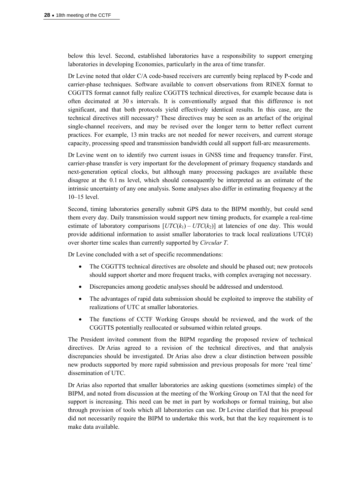below this level. Second, established laboratories have a responsibility to support emerging laboratories in developing Economies, particularly in the area of time transfer.

Dr Levine noted that older C/A code-based receivers are currently being replaced by P-code and carrier-phase techniques. Software available to convert observations from RINEX format to CGGTTS format cannot fully realize CGGTTS technical directives, for example because data is often decimated at 30 s intervals. It is conventionally argued that this difference is not significant, and that both protocols yield effectively identical results. In this case, are the technical directives still necessary? These directives may be seen as an artefact of the original single-channel receivers, and may be revised over the longer term to better reflect current practices. For example, 13 min tracks are not needed for newer receivers, and current storage capacity, processing speed and transmission bandwidth could all support full-arc measurements.

Dr Levine went on to identify two current issues in GNSS time and frequency transfer. First, carrier-phase transfer is very important for the development of primary frequency standards and next-generation optical clocks, but although many processing packages are available these disagree at the 0.1 ns level, which should consequently be interpreted as an estimate of the intrinsic uncertainty of any one analysis. Some analyses also differ in estimating frequency at the 10–15 level.

Second, timing laboratories generally submit GPS data to the BIPM monthly, but could send them every day. Daily transmission would support new timing products, for example a real-time estimate of laboratory comparisons  $[UTC(k_1) - UTC(k_2)]$  at latencies of one day. This would provide additional information to assist smaller laboratories to track local realizations UTC(*k*) over shorter time scales than currently supported by *Circular T*.

Dr Levine concluded with a set of specific recommendations:

- The CGGTTS technical directives are obsolete and should be phased out; new protocols should support shorter and more frequent tracks, with complex averaging not necessary.
- Discrepancies among geodetic analyses should be addressed and understood.
- The advantages of rapid data submission should be exploited to improve the stability of realizations of UTC at smaller laboratories.
- The functions of CCTF Working Groups should be reviewed, and the work of the CGGTTS potentially reallocated or subsumed within related groups.

The President invited comment from the BIPM regarding the proposed review of technical directives. Dr Arias agreed to a revision of the technical directives, and that analysis discrepancies should be investigated. Dr Arias also drew a clear distinction between possible new products supported by more rapid submission and previous proposals for more 'real time' dissemination of UTC.

Dr Arias also reported that smaller laboratories are asking questions (sometimes simple) of the BIPM, and noted from discussion at the meeting of the Working Group on TAI that the need for support is increasing. This need can be met in part by workshops or formal training, but also through provision of tools which all laboratories can use. Dr Levine clarified that his proposal did not necessarily require the BIPM to undertake this work, but that the key requirement is to make data available.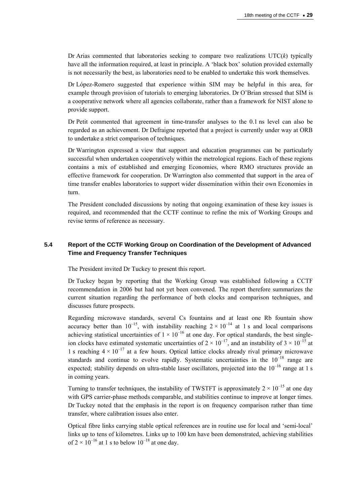Dr Arias commented that laboratories seeking to compare two realizations UTC(*k*) typically have all the information required, at least in principle. A 'black box' solution provided externally is not necessarily the best, as laboratories need to be enabled to undertake this work themselves.

Dr López-Romero suggested that experience within SIM may be helpful in this area, for example through provision of tutorials to emerging laboratories. Dr O'Brian stressed that SIM is a cooperative network where all agencies collaborate, rather than a framework for NIST alone to provide support.

Dr Petit commented that agreement in time-transfer analyses to the 0.1 ns level can also be regarded as an achievement. Dr Defraigne reported that a project is currently under way at ORB to undertake a strict comparison of techniques.

Dr Warrington expressed a view that support and education programmes can be particularly successful when undertaken cooperatively within the metrological regions. Each of these regions contains a mix of established and emerging Economies, where RMO structures provide an effective framework for cooperation. Dr Warrington also commented that support in the area of time transfer enables laboratories to support wider dissemination within their own Economies in turn.

The President concluded discussions by noting that ongoing examination of these key issues is required, and recommended that the CCTF continue to refine the mix of Working Groups and revise terms of reference as necessary.

# **5.4 Report of the CCTF Working Group on Coordination of the Development of Advanced Time and Frequency Transfer Techniques**

The President invited Dr Tuckey to present this report.

Dr Tuckey began by reporting that the Working Group was established following a CCTF recommendation in 2006 but had not yet been convened. The report therefore summarizes the current situation regarding the performance of both clocks and comparison techniques, and discusses future prospects.

Regarding microwave standards, several Cs fountains and at least one Rb fountain show accuracy better than  $10^{-15}$ , with instability reaching  $2 \times 10^{-14}$  at 1 s and local comparisons achieving statistical uncertainties of  $1 \times 10^{-16}$  at one day. For optical standards, the best singleion clocks have estimated systematic uncertainties of  $2 \times 10^{-17}$ , and an instability of  $3 \times 10^{-15}$  at 1 s reaching  $4 \times 10^{-17}$  at a few hours. Optical lattice clocks already rival primary microwave standards and continue to evolve rapidly. Systematic uncertainties in the  $10^{-18}$  range are expected; stability depends on ultra-stable laser oscillators, projected into the  $10^{-16}$  range at 1 s in coming years.

Turning to transfer techniques, the instability of TWSTFT is approximately  $2 \times 10^{-15}$  at one day with GPS carrier-phase methods comparable, and stabilities continue to improve at longer times. Dr Tuckey noted that the emphasis in the report is on frequency comparison rather than time transfer, where calibration issues also enter.

Optical fibre links carrying stable optical references are in routine use for local and 'semi-local' links up to tens of kilometres. Links up to 100 km have been demonstrated, achieving stabilities of  $2 \times 10^{-16}$  at 1 s to below  $10^{-18}$  at one day.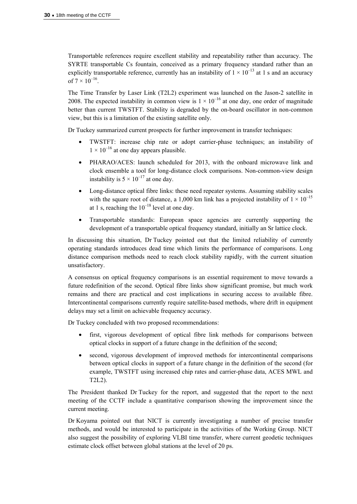Transportable references require excellent stability and repeatability rather than accuracy. The SYRTE transportable Cs fountain, conceived as a primary frequency standard rather than an explicitly transportable reference, currently has an instability of  $1 \times 10^{-13}$  at 1 s and an accuracy of  $7 \times 10^{-16}$ .

The Time Transfer by Laser Link (T2L2) experiment was launched on the Jason-2 satellite in 2008. The expected instability in common view is  $1 \times 10^{-16}$  at one day, one order of magnitude better than current TWSTFT. Stability is degraded by the on-board oscillator in non-common view, but this is a limitation of the existing satellite only.

Dr Tuckey summarized current prospects for further improvement in transfer techniques:

- TWSTFT: increase chip rate or adopt carrier-phase techniques; an instability of  $1 \times 10^{-16}$  at one day appears plausible.
- PHARAO/ACES: launch scheduled for 2013, with the onboard microwave link and clock ensemble a tool for long-distance clock comparisons. Non-common-view design instability is  $5 \times 10^{-17}$  at one day.
- Long-distance optical fibre links: these need repeater systems. Assuming stability scales with the square root of distance, a 1,000 km link has a projected instability of  $1 \times 10^{-15}$ at 1 s, reaching the  $10^{-18}$  level at one day.
- Transportable standards: European space agencies are currently supporting the development of a transportable optical frequency standard, initially an Sr lattice clock.

In discussing this situation, Dr Tuckey pointed out that the limited reliability of currently operating standards introduces dead time which limits the performance of comparisons. Long distance comparison methods need to reach clock stability rapidly, with the current situation unsatisfactory.

A consensus on optical frequency comparisons is an essential requirement to move towards a future redefinition of the second. Optical fibre links show significant promise, but much work remains and there are practical and cost implications in securing access to available fibre. Intercontinental comparisons currently require satellite-based methods, where drift in equipment delays may set a limit on achievable frequency accuracy.

Dr Tuckey concluded with two proposed recommendations:

- first, vigorous development of optical fibre link methods for comparisons between optical clocks in support of a future change in the definition of the second;
- second, vigorous development of improved methods for intercontinental comparisons between optical clocks in support of a future change in the definition of the second (for example, TWSTFT using increased chip rates and carrier-phase data, ACES MWL and T2L2).

The President thanked Dr Tuckey for the report, and suggested that the report to the next meeting of the CCTF include a quantitative comparison showing the improvement since the current meeting.

Dr Koyama pointed out that NICT is currently investigating a number of precise transfer methods, and would be interested to participate in the activities of the Working Group. NICT also suggest the possibility of exploring VLBI time transfer, where current geodetic techniques estimate clock offset between global stations at the level of 20 ps.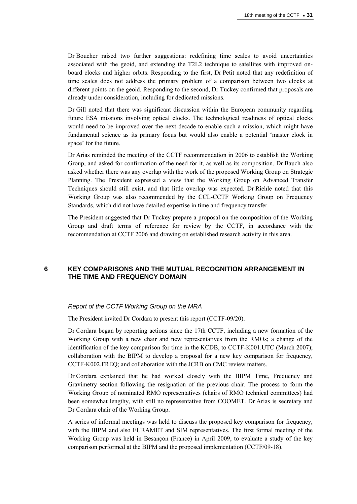Dr Boucher raised two further suggestions: redefining time scales to avoid uncertainties associated with the geoid, and extending the T2L2 technique to satellites with improved onboard clocks and higher orbits. Responding to the first, Dr Petit noted that any redefinition of time scales does not address the primary problem of a comparison between two clocks at different points on the geoid. Responding to the second, Dr Tuckey confirmed that proposals are already under consideration, including for dedicated missions.

Dr Gill noted that there was significant discussion within the European community regarding future ESA missions involving optical clocks. The technological readiness of optical clocks would need to be improved over the next decade to enable such a mission, which might have fundamental science as its primary focus but would also enable a potential 'master clock in space' for the future.

Dr Arias reminded the meeting of the CCTF recommendation in 2006 to establish the Working Group, and asked for confirmation of the need for it, as well as its composition. Dr Bauch also asked whether there was any overlap with the work of the proposed Working Group on Strategic Planning. The President expressed a view that the Working Group on Advanced Transfer Techniques should still exist, and that little overlap was expected. Dr Riehle noted that this Working Group was also recommended by the CCL-CCTF Working Group on Frequency Standards, which did not have detailed expertise in time and frequency transfer.

The President suggested that Dr Tuckey prepare a proposal on the composition of the Working Group and draft terms of reference for review by the CCTF, in accordance with the recommendation at CCTF 2006 and drawing on established research activity in this area.

# **6 KEY COMPARISONS AND THE MUTUAL RECOGNITION ARRANGEMENT IN THE TIME AND FREQUENCY DOMAIN**

### *Report of the CCTF Working Group on the MRA*

The President invited Dr Cordara to present this report (CCTF-09/20).

Dr Cordara began by reporting actions since the 17th CCTF, including a new formation of the Working Group with a new chair and new representatives from the RMOs; a change of the identification of the key comparison for time in the KCDB, to CCTF-K001.UTC (March 2007); collaboration with the BIPM to develop a proposal for a new key comparison for frequency, CCTF-K002.FREQ; and collaboration with the JCRB on CMC review matters.

Dr Cordara explained that he had worked closely with the BIPM Time, Frequency and Gravimetry section following the resignation of the previous chair. The process to form the Working Group of nominated RMO representatives (chairs of RMO technical committees) had been somewhat lengthy, with still no representative from COOMET. Dr Arias is secretary and Dr Cordara chair of the Working Group.

A series of informal meetings was held to discuss the proposed key comparison for frequency, with the BIPM and also EURAMET and SIM representatives. The first formal meeting of the Working Group was held in Besançon (France) in April 2009, to evaluate a study of the key comparison performed at the BIPM and the proposed implementation (CCTF/09-18).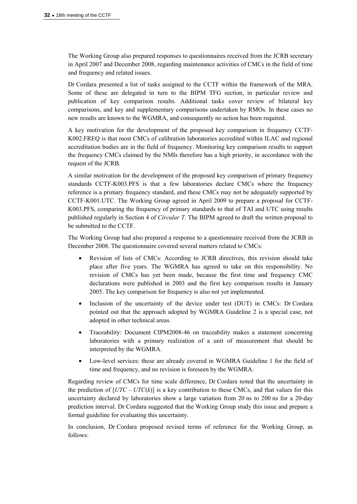The Working Group also prepared responses to questionnaires received from the JCRB secretary in April 2007 and December 2008, regarding maintenance activities of CMCs in the field of time and frequency and related issues.

Dr Cordara presented a list of tasks assigned to the CCTF within the framework of the MRA. Some of these are delegated in turn to the BIPM TFG section, in particular review and publication of key comparison results. Additional tasks cover review of bilateral key comparisons, and key and supplementary comparisons undertaken by RMOs. In these cases no new results are known to the WGMRA, and consequently no action has been required.

A key motivation for the development of the proposed key comparison in frequency CCTF-K002.FREQ is that most CMCs of calibration laboratories accredited within ILAC and regional accreditation bodies are in the field of frequency. Monitoring key comparison results to support the frequency CMCs claimed by the NMIs therefore has a high priority, in accordance with the request of the JCRB.

A similar motivation for the development of the proposed key comparison of primary frequency standards CCTF-K003.PFS is that a few laboratories declare CMCs where the frequency reference is a primary frequency standard, and these CMCs may not be adequately supported by CCTF-K001.UTC. The Working Group agreed in April 2009 to prepare a proposal for CCTF-K003.PFS, comparing the frequency of primary standards to that of TAI and UTC using results published regularly in Section 4 of *Circular T*. The BIPM agreed to draft the written proposal to be submitted to the CCTF.

The Working Group had also prepared a response to a questionnaire received from the JCRB in December 2008. The questionnaire covered several matters related to CMCs:

- Revision of lists of CMCs: According to JCRB directives, this revision should take place after five years. The WGMRA has agreed to take on this responsibility. No revision of CMCs has yet been made, because the first time and frequency CMC declarations were published in 2003 and the first key comparison results in January 2005. The key comparison for frequency is also not yet implemented.
- Inclusion of the uncertainty of the device under test (DUT) in CMCs: Dr Cordara pointed out that the approach adopted by WGMRA Guideline 2 is a special case, not adopted in other technical areas.
- Traceability: Document CIPM2008-46 on traceability makes a statement concerning laboratories with a primary realization of a unit of measurement that should be interpreted by the WGMRA.
- Low-level services: these are already covered in WGMRA Guideline 1 for the field of time and frequency, and no revision is foreseen by the WGMRA.

Regarding review of CMCs for time scale difference, Dr Cordara noted that the uncertainty in the prediction of  $[UTC - UTC(k)]$  is a key contribution to these CMCs, and that values for this uncertainty declared by laboratories show a large variation from 20 ns to 200 ns for a 20-day prediction interval. Dr Cordara suggested that the Working Group study this issue and prepare a formal guideline for evaluating this uncertainty.

In conclusion, Dr Cordara proposed revised terms of reference for the Working Group, as follows: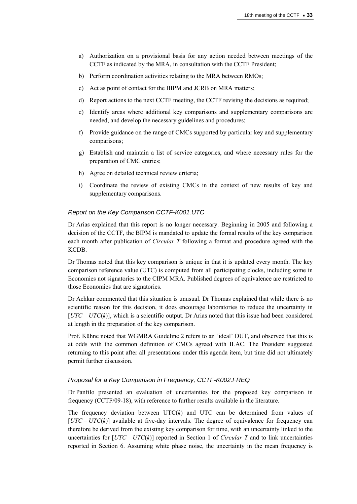- a) Authorization on a provisional basis for any action needed between meetings of the CCTF as indicated by the MRA, in consultation with the CCTF President;
- b) Perform coordination activities relating to the MRA between RMOs;
- c) Act as point of contact for the BIPM and JCRB on MRA matters;
- d) Report actions to the next CCTF meeting, the CCTF revising the decisions as required;
- e) Identify areas where additional key comparisons and supplementary comparisons are needed, and develop the necessary guidelines and procedures;
- f) Provide guidance on the range of CMCs supported by particular key and supplementary comparisons;
- g) Establish and maintain a list of service categories, and where necessary rules for the preparation of CMC entries;
- h) Agree on detailed technical review criteria;
- i) Coordinate the review of existing CMCs in the context of new results of key and supplementary comparisons.

### *Report on the Key Comparison CCTF-K001.UTC*

Dr Arias explained that this report is no longer necessary. Beginning in 2005 and following a decision of the CCTF, the BIPM is mandated to update the formal results of the key comparison each month after publication of *Circular T* following a format and procedure agreed with the KCDB.

Dr Thomas noted that this key comparison is unique in that it is updated every month. The key comparison reference value (UTC) is computed from all participating clocks, including some in Economies not signatories to the CIPM MRA. Published degrees of equivalence are restricted to those Economies that are signatories.

Dr Achkar commented that this situation is unusual. Dr Thomas explained that while there is no scientific reason for this decision, it does encourage laboratories to reduce the uncertainty in [*UTC – UTC*(*k*)], which is a scientific output. Dr Arias noted that this issue had been considered at length in the preparation of the key comparison.

Prof. Kühne noted that WGMRA Guideline 2 refers to an 'ideal' DUT, and observed that this is at odds with the common definition of CMCs agreed with ILAC. The President suggested returning to this point after all presentations under this agenda item, but time did not ultimately permit further discussion.

#### *Proposal for a Key Comparison in Frequency, CCTF-K002.FREQ*

Dr Panfilo presented an evaluation of uncertainties for the proposed key comparison in frequency (CCTF/09-18), with reference to further results available in the literature.

The frequency deviation between  $UTC(k)$  and  $UTC$  can be determined from values of [*UTC – UTC*(*k*)] available at five-day intervals. The degree of equivalence for frequency can therefore be derived from the existing key comparison for time, with an uncertainty linked to the uncertainties for  $[UTC - UTC(k)]$  reported in Section 1 of *Circular T* and to link uncertainties reported in Section 6. Assuming white phase noise, the uncertainty in the mean frequency is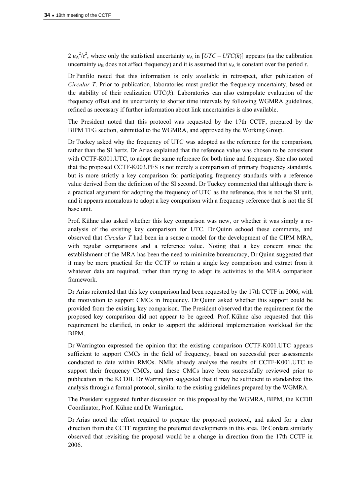$2 u_{A}^{2}/\tau^{2}$ , where only the statistical uncertainty  $u_{A}$  in  $[UTC - UTC(k)]$  appears (as the calibration uncertainty  $u_B$  does not affect frequency) and it is assumed that  $u_A$  is constant over the period  $\tau$ .

Dr Panfilo noted that this information is only available in retrospect, after publication of *Circular T*. Prior to publication, laboratories must predict the frequency uncertainty, based on the stability of their realization  $UTC(k)$ . Laboratories can also extrapolate evaluation of the frequency offset and its uncertainty to shorter time intervals by following WGMRA guidelines, refined as necessary if further information about link uncertainties is also available.

The President noted that this protocol was requested by the 17th CCTF, prepared by the BIPM TFG section, submitted to the WGMRA, and approved by the Working Group.

Dr Tuckey asked why the frequency of UTC was adopted as the reference for the comparison, rather than the SI hertz. Dr Arias explained that the reference value was chosen to be consistent with CCTF-K001.UTC, to adopt the same reference for both time and frequency. She also noted that the proposed CCTF-K003.PFS is not merely a comparison of primary frequency standards, but is more strictly a key comparison for participating frequency standards with a reference value derived from the definition of the SI second. Dr Tuckey commented that although there is a practical argument for adopting the frequency of UTC as the reference, this is not the SI unit, and it appears anomalous to adopt a key comparison with a frequency reference that is not the SI base unit.

Prof. Kühne also asked whether this key comparison was new, or whether it was simply a reanalysis of the existing key comparison for UTC. Dr Quinn echoed these comments, and observed that *Circular T* had been in a sense a model for the development of the CIPM MRA, with regular comparisons and a reference value. Noting that a key concern since the establishment of the MRA has been the need to minimize bureaucracy, Dr Quinn suggested that it may be more practical for the CCTF to retain a single key comparison and extract from it whatever data are required, rather than trying to adapt its activities to the MRA comparison framework.

Dr Arias reiterated that this key comparison had been requested by the 17th CCTF in 2006, with the motivation to support CMCs in frequency. Dr Quinn asked whether this support could be provided from the existing key comparison. The President observed that the requirement for the proposed key comparison did not appear to be agreed. Prof. Kühne also requested that this requirement be clarified, in order to support the additional implementation workload for the BIPM.

Dr Warrington expressed the opinion that the existing comparison CCTF-K001.UTC appears sufficient to support CMCs in the field of frequency, based on successful peer assessments conducted to date within RMOs. NMIs already analyse the results of CCTF-K001.UTC to support their frequency CMCs, and these CMCs have been successfully reviewed prior to publication in the KCDB. Dr Warrington suggested that it may be sufficient to standardize this analysis through a formal protocol, similar to the existing guidelines prepared by the WGMRA.

The President suggested further discussion on this proposal by the WGMRA, BIPM, the KCDB Coordinator, Prof. Kühne and Dr Warrington.

Dr Arias noted the effort required to prepare the proposed protocol, and asked for a clear direction from the CCTF regarding the preferred developments in this area. Dr Cordara similarly observed that revisiting the proposal would be a change in direction from the 17th CCTF in 2006.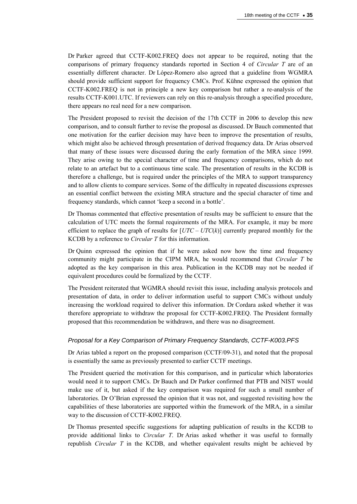Dr Parker agreed that CCTF-K002.FREQ does not appear to be required, noting that the comparisons of primary frequency standards reported in Section 4 of *Circular T* are of an essentially different character. Dr López-Romero also agreed that a guideline from WGMRA should provide sufficient support for frequency CMCs. Prof. Kühne expressed the opinion that CCTF-K002.FREQ is not in principle a new key comparison but rather a re-analysis of the results CCTF-K001.UTC. If reviewers can rely on this re-analysis through a specified procedure, there appears no real need for a new comparison.

The President proposed to revisit the decision of the 17th CCTF in 2006 to develop this new comparison, and to consult further to revise the proposal as discussed. Dr Bauch commented that one motivation for the earlier decision may have been to improve the presentation of results, which might also be achieved through presentation of derived frequency data. Dr Arias observed that many of these issues were discussed during the early formation of the MRA since 1999. They arise owing to the special character of time and frequency comparisons, which do not relate to an artefact but to a continuous time scale. The presentation of results in the KCDB is therefore a challenge, but is required under the principles of the MRA to support transparency and to allow clients to compare services. Some of the difficulty in repeated discussions expresses an essential conflict between the existing MRA structure and the special character of time and frequency standards, which cannot 'keep a second in a bottle'.

Dr Thomas commented that effective presentation of results may be sufficient to ensure that the calculation of UTC meets the formal requirements of the MRA. For example, it may be more efficient to replace the graph of results for [*UTC* – *UTC*(*k*)] currently prepared monthly for the KCDB by a reference to *Circular T* for this information.

Dr Quinn expressed the opinion that if he were asked now how the time and frequency community might participate in the CIPM MRA, he would recommend that *Circular T* be adopted as the key comparison in this area. Publication in the KCDB may not be needed if equivalent procedures could be formalized by the CCTF.

The President reiterated that WGMRA should revisit this issue, including analysis protocols and presentation of data, in order to deliver information useful to support CMCs without unduly increasing the workload required to deliver this information. Dr Cordara asked whether it was therefore appropriate to withdraw the proposal for CCTF-K002.FREQ. The President formally proposed that this recommendation be withdrawn, and there was no disagreement.

# *Proposal for a Key Comparison of Primary Frequency Standards, CCTF-K003.PFS*

Dr Arias tabled a report on the proposed comparison (CCTF/09-31), and noted that the proposal is essentially the same as previously presented to earlier CCTF meetings.

The President queried the motivation for this comparison, and in particular which laboratories would need it to support CMCs. Dr Bauch and Dr Parker confirmed that PTB and NIST would make use of it, but asked if the key comparison was required for such a small number of laboratories. Dr O'Brian expressed the opinion that it was not, and suggested revisiting how the capabilities of these laboratories are supported within the framework of the MRA, in a similar way to the discussion of CCTF-K002.FREQ.

Dr Thomas presented specific suggestions for adapting publication of results in the KCDB to provide additional links to *Circular T*. Dr Arias asked whether it was useful to formally republish *Circular T* in the KCDB, and whether equivalent results might be achieved by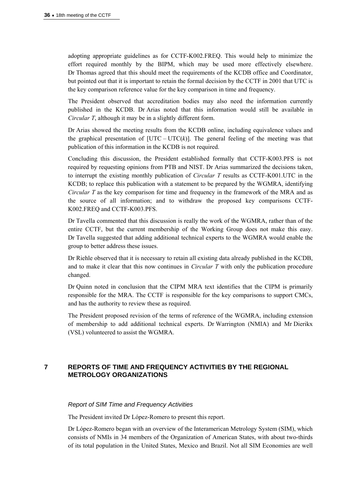adopting appropriate guidelines as for CCTF-K002.FREQ. This would help to minimize the effort required monthly by the BIPM, which may be used more effectively elsewhere. Dr Thomas agreed that this should meet the requirements of the KCDB office and Coordinator, but pointed out that it is important to retain the formal decision by the CCTF in 2001 that UTC is the key comparison reference value for the key comparison in time and frequency.

The President observed that accreditation bodies may also need the information currently published in the KCDB. Dr Arias noted that this information would still be available in *Circular T*, although it may be in a slightly different form.

Dr Arias showed the meeting results from the KCDB online, including equivalence values and the graphical presentation of  $[UTC - UTC(k)]$ . The general feeling of the meeting was that publication of this information in the KCDB is not required.

Concluding this discussion, the President established formally that CCTF-K003.PFS is not required by requesting opinions from PTB and NIST. Dr Arias summarized the decisions taken, to interrupt the existing monthly publication of *Circular T* results as CCTF-K001.UTC in the KCDB; to replace this publication with a statement to be prepared by the WGMRA, identifying *Circular T* as the key comparison for time and frequency in the framework of the MRA and as the source of all information; and to withdraw the proposed key comparisons CCTF-K002.FREQ and CCTF-K003.PFS.

Dr Tavella commented that this discussion is really the work of the WGMRA, rather than of the entire CCTF, but the current membership of the Working Group does not make this easy. Dr Tavella suggested that adding additional technical experts to the WGMRA would enable the group to better address these issues.

Dr Riehle observed that it is necessary to retain all existing data already published in the KCDB, and to make it clear that this now continues in *Circular T* with only the publication procedure changed.

Dr Quinn noted in conclusion that the CIPM MRA text identifies that the CIPM is primarily responsible for the MRA. The CCTF is responsible for the key comparisons to support CMCs, and has the authority to review these as required.

The President proposed revision of the terms of reference of the WGMRA, including extension of membership to add additional technical experts. Dr Warrington (NMIA) and Mr Dierikx (VSL) volunteered to assist the WGMRA.

# **7 REPORTS OF TIME AND FREQUENCY ACTIVITIES BY THE REGIONAL METROLOGY ORGANIZATIONS**

### *Report of SIM Time and Frequency Activities*

The President invited Dr López-Romero to present this report.

Dr López-Romero began with an overview of the Interamerican Metrology System (SIM), which consists of NMIs in 34 members of the Organization of American States, with about two-thirds of its total population in the United States, Mexico and Brazil. Not all SIM Economies are well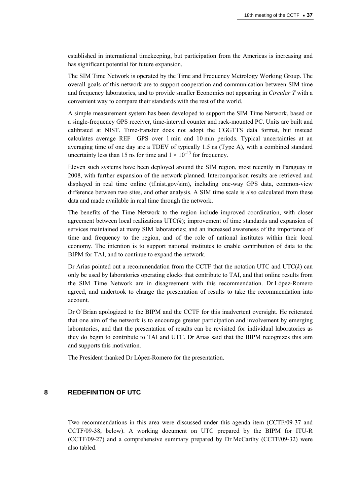established in international timekeeping, but participation from the Americas is increasing and has significant potential for future expansion.

The SIM Time Network is operated by the Time and Frequency Metrology Working Group. The overall goals of this network are to support cooperation and communication between SIM time and frequency laboratories, and to provide smaller Economies not appearing in *Circular T* with a convenient way to compare their standards with the rest of the world.

A simple measurement system has been developed to support the SIM Time Network, based on a single-frequency GPS receiver, time-interval counter and rack-mounted PC. Units are built and calibrated at NIST. Time-transfer does not adopt the CGGTTS data format, but instead calculates average REF – GPS over 1 min and 10 min periods. Typical uncertainties at an averaging time of one day are a TDEV of typically 1.5 ns (Type A), with a combined standard uncertainty less than 15 ns for time and  $1 \times 10^{-13}$  for frequency.

Eleven such systems have been deployed around the SIM region, most recently in Paraguay in 2008, with further expansion of the network planned. Intercomparison results are retrieved and displayed in real time online (tf.nist.gov/sim), including one-way GPS data, common-view difference between two sites, and other analysis. A SIM time scale is also calculated from these data and made available in real time through the network.

The benefits of the Time Network to the region include improved coordination, with closer agreement between local realizations  $\text{UTC}(k)$ ; improvement of time standards and expansion of services maintained at many SIM laboratories; and an increased awareness of the importance of time and frequency to the region, and of the role of national institutes within their local economy. The intention is to support national institutes to enable contribution of data to the BIPM for TAI, and to continue to expand the network.

Dr Arias pointed out a recommendation from the CCTF that the notation UTC and UTC(*k*) can only be used by laboratories operating clocks that contribute to TAI, and that online results from the SIM Time Network are in disagreement with this recommendation. Dr López-Romero agreed, and undertook to change the presentation of results to take the recommendation into account.

Dr O'Brian apologized to the BIPM and the CCTF for this inadvertent oversight. He reiterated that one aim of the network is to encourage greater participation and involvement by emerging laboratories, and that the presentation of results can be revisited for individual laboratories as they do begin to contribute to TAI and UTC. Dr Arias said that the BIPM recognizes this aim and supports this motivation.

The President thanked Dr López-Romero for the presentation.

# **8 REDEFINITION OF UTC**

Two recommendations in this area were discussed under this agenda item (CCTF/09-37 and CCTF/09-38, below). A working document on UTC prepared by the BIPM for ITU-R (CCTF/09-27) and a comprehensive summary prepared by Dr McCarthy (CCTF/09-32) were also tabled.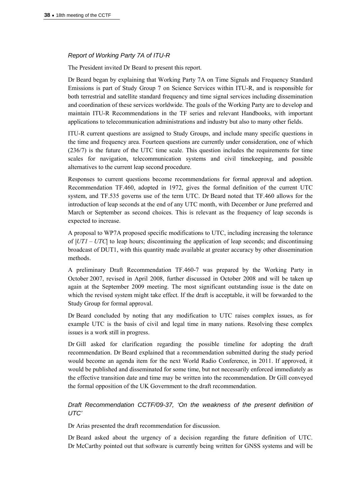# *Report of Working Party 7A of ITU-R*

The President invited Dr Beard to present this report.

Dr Beard began by explaining that Working Party 7A on Time Signals and Frequency Standard Emissions is part of Study Group 7 on Science Services within ITU-R, and is responsible for both terrestrial and satellite standard frequency and time signal services including dissemination and coordination of these services worldwide. The goals of the Working Party are to develop and maintain ITU-R Recommendations in the TF series and relevant Handbooks, with important applications to telecommunication administrations and industry but also to many other fields.

ITU-R current questions are assigned to Study Groups, and include many specific questions in the time and frequency area. Fourteen questions are currently under consideration, one of which (236/7) is the future of the UTC time scale. This question includes the requirements for time scales for navigation, telecommunication systems and civil timekeeping, and possible alternatives to the current leap second procedure.

Responses to current questions become recommendations for formal approval and adoption. Recommendation TF.460, adopted in 1972, gives the formal definition of the current UTC system, and TF.535 governs use of the term UTC. Dr Beard noted that TF.460 allows for the introduction of leap seconds at the end of any UTC month, with December or June preferred and March or September as second choices. This is relevant as the frequency of leap seconds is expected to increase.

A proposal to WP7A proposed specific modifications to UTC, including increasing the tolerance of |*UT1 – UTC*| to leap hours; discontinuing the application of leap seconds; and discontinuing broadcast of DUT1, with this quantity made available at greater accuracy by other dissemination methods.

A preliminary Draft Recommendation TF.460-7 was prepared by the Working Party in October 2007, revised in April 2008, further discussed in October 2008 and will be taken up again at the September 2009 meeting. The most significant outstanding issue is the date on which the revised system might take effect. If the draft is acceptable, it will be forwarded to the Study Group for formal approval.

Dr Beard concluded by noting that any modification to UTC raises complex issues, as for example UTC is the basis of civil and legal time in many nations. Resolving these complex issues is a work still in progress.

Dr Gill asked for clarification regarding the possible timeline for adopting the draft recommendation. Dr Beard explained that a recommendation submitted during the study period would become an agenda item for the next World Radio Conference, in 2011. If approved, it would be published and disseminated for some time, but not necessarily enforced immediately as the effective transition date and time may be written into the recommendation. Dr Gill conveyed the formal opposition of the UK Government to the draft recommendation.

# *Draft Recommendation CCTF/09-37, 'On the weakness of the present definition of UTC'*

Dr Arias presented the draft recommendation for discussion.

Dr Beard asked about the urgency of a decision regarding the future definition of UTC. Dr McCarthy pointed out that software is currently being written for GNSS systems and will be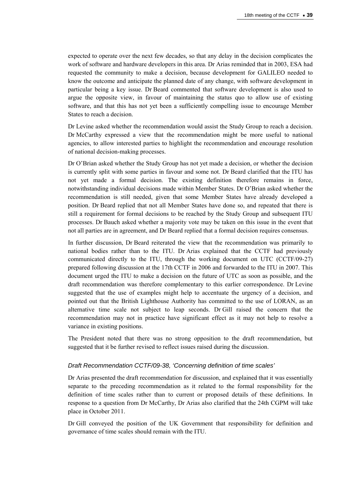expected to operate over the next few decades, so that any delay in the decision complicates the work of software and hardware developers in this area. Dr Arias reminded that in 2003, ESA had requested the community to make a decision, because development for GALILEO needed to know the outcome and anticipate the planned date of any change, with software development in particular being a key issue. Dr Beard commented that software development is also used to argue the opposite view, in favour of maintaining the status quo to allow use of existing software, and that this has not yet been a sufficiently compelling issue to encourage Member States to reach a decision.

Dr Levine asked whether the recommendation would assist the Study Group to reach a decision. Dr McCarthy expressed a view that the recommendation might be more useful to national agencies, to allow interested parties to highlight the recommendation and encourage resolution of national decision-making processes.

Dr O'Brian asked whether the Study Group has not yet made a decision, or whether the decision is currently split with some parties in favour and some not. Dr Beard clarified that the ITU has not yet made a formal decision. The existing definition therefore remains in force, notwithstanding individual decisions made within Member States. Dr O'Brian asked whether the recommendation is still needed, given that some Member States have already developed a position. Dr Beard replied that not all Member States have done so, and repeated that there is still a requirement for formal decisions to be reached by the Study Group and subsequent ITU processes. Dr Bauch asked whether a majority vote may be taken on this issue in the event that not all parties are in agreement, and Dr Beard replied that a formal decision requires consensus.

In further discussion, Dr Beard reiterated the view that the recommendation was primarily to national bodies rather than to the ITU. Dr Arias explained that the CCTF had previously communicated directly to the ITU, through the working document on UTC (CCTF/09-27) prepared following discussion at the 17th CCTF in 2006 and forwarded to the ITU in 2007. This document urged the ITU to make a decision on the future of UTC as soon as possible, and the draft recommendation was therefore complementary to this earlier correspondence. Dr Levine suggested that the use of examples might help to accentuate the urgency of a decision, and pointed out that the British Lighthouse Authority has committed to the use of LORAN, as an alternative time scale not subject to leap seconds. Dr Gill raised the concern that the recommendation may not in practice have significant effect as it may not help to resolve a variance in existing positions.

The President noted that there was no strong opposition to the draft recommendation, but suggested that it be further revised to reflect issues raised during the discussion.

#### *Draft Recommendation CCTF/09-38, 'Concerning definition of time scales'*

Dr Arias presented the draft recommendation for discussion, and explained that it was essentially separate to the preceding recommendation as it related to the formal responsibility for the definition of time scales rather than to current or proposed details of these definitions. In response to a question from Dr McCarthy, Dr Arias also clarified that the 24th CGPM will take place in October 2011.

Dr Gill conveyed the position of the UK Government that responsibility for definition and governance of time scales should remain with the ITU.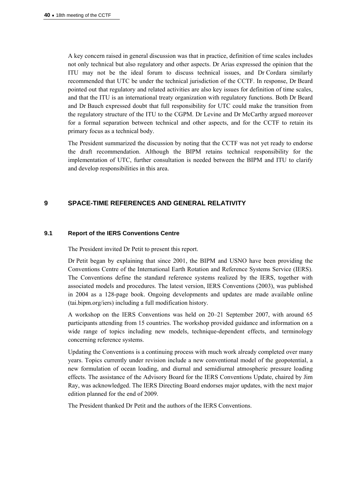A key concern raised in general discussion was that in practice, definition of time scales includes not only technical but also regulatory and other aspects. Dr Arias expressed the opinion that the ITU may not be the ideal forum to discuss technical issues, and Dr Cordara similarly recommended that UTC be under the technical jurisdiction of the CCTF. In response, Dr Beard pointed out that regulatory and related activities are also key issues for definition of time scales, and that the ITU is an international treaty organization with regulatory functions. Both Dr Beard and Dr Bauch expressed doubt that full responsibility for UTC could make the transition from the regulatory structure of the ITU to the CGPM. Dr Levine and Dr McCarthy argued moreover for a formal separation between technical and other aspects, and for the CCTF to retain its primary focus as a technical body.

The President summarized the discussion by noting that the CCTF was not yet ready to endorse the draft recommendation. Although the BIPM retains technical responsibility for the implementation of UTC, further consultation is needed between the BIPM and ITU to clarify and develop responsibilities in this area.

# **9 SPACE-TIME REFERENCES AND GENERAL RELATIVITY**

### **9.1 Report of the IERS Conventions Centre**

The President invited Dr Petit to present this report.

Dr Petit began by explaining that since 2001, the BIPM and USNO have been providing the Conventions Centre of the International Earth Rotation and Reference Systems Service (IERS). The Conventions define the standard reference systems realized by the IERS, together with associated models and procedures. The latest version, IERS Conventions (2003), was published in 2004 as a 128-page book. Ongoing developments and updates are made available online (tai.bipm.org/iers) including a full modification history.

A workshop on the IERS Conventions was held on 20–21 September 2007, with around 65 participants attending from 15 countries. The workshop provided guidance and information on a wide range of topics including new models, technique-dependent effects, and terminology concerning reference systems.

Updating the Conventions is a continuing process with much work already completed over many years. Topics currently under revision include a new conventional model of the geopotential, a new formulation of ocean loading, and diurnal and semidiurnal atmospheric pressure loading effects. The assistance of the Advisory Board for the IERS Conventions Update, chaired by Jim Ray, was acknowledged. The IERS Directing Board endorses major updates, with the next major edition planned for the end of 2009.

The President thanked Dr Petit and the authors of the IERS Conventions.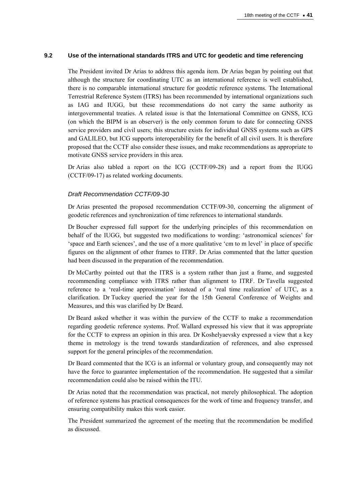### **9.2 Use of the international standards ITRS and UTC for geodetic and time referencing**

The President invited Dr Arias to address this agenda item. Dr Arias began by pointing out that although the structure for coordinating UTC as an international reference is well established, there is no comparable international structure for geodetic reference systems. The International Terrestrial Reference System (ITRS) has been recommended by international organizations such as IAG and IUGG, but these recommendations do not carry the same authority as intergovernmental treaties. A related issue is that the International Committee on GNSS, ICG (on which the BIPM is an observer) is the only common forum to date for connecting GNSS service providers and civil users; this structure exists for individual GNSS systems such as GPS and GALILEO, but ICG supports interoperability for the benefit of all civil users. It is therefore proposed that the CCTF also consider these issues, and make recommendations as appropriate to motivate GNSS service providers in this area.

Dr Arias also tabled a report on the ICG (CCTF/09-28) and a report from the IUGG (CCTF/09-17) as related working documents.

### *Draft Recommendation CCTF/09-30*

Dr Arias presented the proposed recommendation CCTF/09-30, concerning the alignment of geodetic references and synchronization of time references to international standards.

Dr Boucher expressed full support for the underlying principles of this recommendation on behalf of the IUGG, but suggested two modifications to wording: 'astronomical sciences' for 'space and Earth sciences', and the use of a more qualitative 'cm to m level' in place of specific figures on the alignment of other frames to ITRF. Dr Arias commented that the latter question had been discussed in the preparation of the recommendation.

Dr McCarthy pointed out that the ITRS is a system rather than just a frame, and suggested recommending compliance with ITRS rather than alignment to ITRF. Dr Tavella suggested reference to a 'real-time approximation' instead of a 'real time realization' of UTC, as a clarification. Dr Tuckey queried the year for the 15th General Conference of Weights and Measures, and this was clarified by Dr Beard.

Dr Beard asked whether it was within the purview of the CCTF to make a recommendation regarding geodetic reference systems. Prof. Wallard expressed his view that it was appropriate for the CCTF to express an opinion in this area. Dr Koshelyaevsky expressed a view that a key theme in metrology is the trend towards standardization of references, and also expressed support for the general principles of the recommendation.

Dr Beard commented that the ICG is an informal or voluntary group, and consequently may not have the force to guarantee implementation of the recommendation. He suggested that a similar recommendation could also be raised within the ITU.

Dr Arias noted that the recommendation was practical, not merely philosophical. The adoption of reference systems has practical consequences for the work of time and frequency transfer, and ensuring compatibility makes this work easier.

The President summarized the agreement of the meeting that the recommendation be modified as discussed.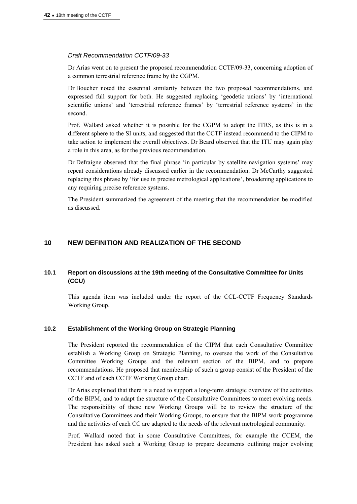### *Draft Recommendation CCTF/09-33*

Dr Arias went on to present the proposed recommendation CCTF/09-33, concerning adoption of a common terrestrial reference frame by the CGPM.

Dr Boucher noted the essential similarity between the two proposed recommendations, and expressed full support for both. He suggested replacing 'geodetic unions' by 'international scientific unions' and 'terrestrial reference frames' by 'terrestrial reference systems' in the second.

Prof. Wallard asked whether it is possible for the CGPM to adopt the ITRS, as this is in a different sphere to the SI units, and suggested that the CCTF instead recommend to the CIPM to take action to implement the overall objectives. Dr Beard observed that the ITU may again play a role in this area, as for the previous recommendation.

Dr Defraigne observed that the final phrase 'in particular by satellite navigation systems' may repeat considerations already discussed earlier in the recommendation. Dr McCarthy suggested replacing this phrase by 'for use in precise metrological applications', broadening applications to any requiring precise reference systems.

The President summarized the agreement of the meeting that the recommendation be modified as discussed.

# **10 NEW DEFINITION AND REALIZATION OF THE SECOND**

# **10.1 Report on discussions at the 19th meeting of the Consultative Committee for Units (CCU)**

This agenda item was included under the report of the CCL-CCTF Frequency Standards Working Group.

#### **10.2 Establishment of the Working Group on Strategic Planning**

The President reported the recommendation of the CIPM that each Consultative Committee establish a Working Group on Strategic Planning, to oversee the work of the Consultative Committee Working Groups and the relevant section of the BIPM, and to prepare recommendations. He proposed that membership of such a group consist of the President of the CCTF and of each CCTF Working Group chair.

Dr Arias explained that there is a need to support a long-term strategic overview of the activities of the BIPM, and to adapt the structure of the Consultative Committees to meet evolving needs. The responsibility of these new Working Groups will be to review the structure of the Consultative Committees and their Working Groups, to ensure that the BIPM work programme and the activities of each CC are adapted to the needs of the relevant metrological community.

Prof. Wallard noted that in some Consultative Committees, for example the CCEM, the President has asked such a Working Group to prepare documents outlining major evolving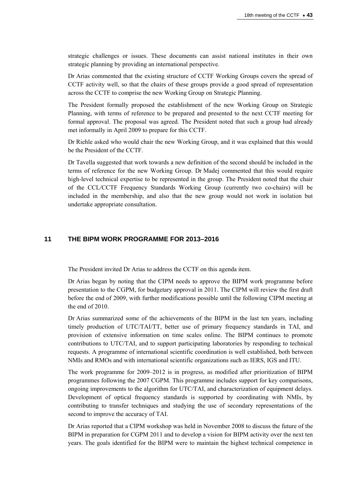strategic challenges or issues. These documents can assist national institutes in their own strategic planning by providing an international perspective.

Dr Arias commented that the existing structure of CCTF Working Groups covers the spread of CCTF activity well, so that the chairs of these groups provide a good spread of representation across the CCTF to comprise the new Working Group on Strategic Planning.

The President formally proposed the establishment of the new Working Group on Strategic Planning, with terms of reference to be prepared and presented to the next CCTF meeting for formal approval. The proposal was agreed. The President noted that such a group had already met informally in April 2009 to prepare for this CCTF.

Dr Riehle asked who would chair the new Working Group, and it was explained that this would be the President of the CCTF.

Dr Tavella suggested that work towards a new definition of the second should be included in the terms of reference for the new Working Group. Dr Madej commented that this would require high-level technical expertise to be represented in the group. The President noted that the chair of the CCL/CCTF Frequency Standards Working Group (currently two co-chairs) will be included in the membership, and also that the new group would not work in isolation but undertake appropriate consultation.

# **11 THE BIPM WORK PROGRAMME FOR 2013–2016**

The President invited Dr Arias to address the CCTF on this agenda item.

Dr Arias began by noting that the CIPM needs to approve the BIPM work programme before presentation to the CGPM, for budgetary approval in 2011. The CIPM will review the first draft before the end of 2009, with further modifications possible until the following CIPM meeting at the end of 2010.

Dr Arias summarized some of the achievements of the BIPM in the last ten years, including timely production of UTC/TAI/TT, better use of primary frequency standards in TAI, and provision of extensive information on time scales online. The BIPM continues to promote contributions to UTC/TAI, and to support participating laboratories by responding to technical requests. A programme of international scientific coordination is well established, both between NMIs and RMOs and with international scientific organizations such as IERS, IGS and ITU.

The work programme for 2009–2012 is in progress, as modified after prioritization of BIPM programmes following the 2007 CGPM. This programme includes support for key comparisons, ongoing improvements to the algorithm for UTC/TAI, and characterization of equipment delays. Development of optical frequency standards is supported by coordinating with NMIs, by contributing to transfer techniques and studying the use of secondary representations of the second to improve the accuracy of TAI.

Dr Arias reported that a CIPM workshop was held in November 2008 to discuss the future of the BIPM in preparation for CGPM 2011 and to develop a vision for BIPM activity over the next ten years. The goals identified for the BIPM were to maintain the highest technical competence in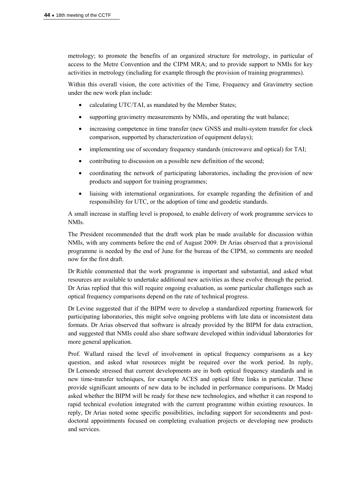metrology; to promote the benefits of an organized structure for metrology, in particular of access to the Metre Convention and the CIPM MRA; and to provide support to NMIs for key activities in metrology (including for example through the provision of training programmes).

Within this overall vision, the core activities of the Time, Frequency and Gravimetry section under the new work plan include:

- calculating UTC/TAI, as mandated by the Member States;
- supporting gravimetry measurements by NMIs, and operating the watt balance;
- increasing competence in time transfer (new GNSS and multi-system transfer for clock comparison, supported by characterization of equipment delays);
- implementing use of secondary frequency standards (microwave and optical) for TAI;
- contributing to discussion on a possible new definition of the second;
- coordinating the network of participating laboratories, including the provision of new products and support for training programmes;
- liaising with international organizations, for example regarding the definition of and responsibility for UTC, or the adoption of time and geodetic standards.

A small increase in staffing level is proposed, to enable delivery of work programme services to NMIs.

The President recommended that the draft work plan be made available for discussion within NMIs, with any comments before the end of August 2009. Dr Arias observed that a provisional programme is needed by the end of June for the bureau of the CIPM, so comments are needed now for the first draft.

Dr Riehle commented that the work programme is important and substantial, and asked what resources are available to undertake additional new activities as these evolve through the period. Dr Arias replied that this will require ongoing evaluation, as some particular challenges such as optical frequency comparisons depend on the rate of technical progress.

Dr Levine suggested that if the BIPM were to develop a standardized reporting framework for participating laboratories, this might solve ongoing problems with late data or inconsistent data formats. Dr Arias observed that software is already provided by the BIPM for data extraction, and suggested that NMIs could also share software developed within individual laboratories for more general application.

Prof. Wallard raised the level of involvement in optical frequency comparisons as a key question, and asked what resources might be required over the work period. In reply, Dr Lemonde stressed that current developments are in both optical frequency standards and in new time-transfer techniques, for example ACES and optical fibre links in particular. These provide significant amounts of new data to be included in performance comparisons. Dr Madej asked whether the BIPM will be ready for these new technologies, and whether it can respond to rapid technical evolution integrated with the current programme within existing resources. In reply, Dr Arias noted some specific possibilities, including support for secondments and postdoctoral appointments focused on completing evaluation projects or developing new products and services.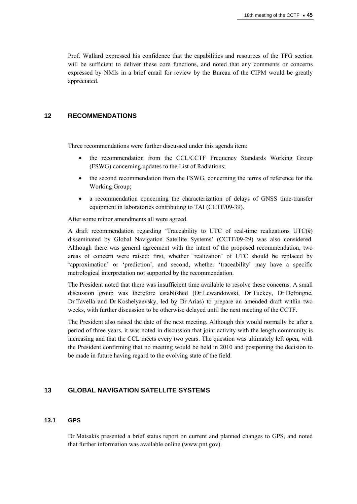Prof. Wallard expressed his confidence that the capabilities and resources of the TFG section will be sufficient to deliver these core functions, and noted that any comments or concerns expressed by NMIs in a brief email for review by the Bureau of the CIPM would be greatly appreciated.

# **12 RECOMMENDATIONS**

Three recommendations were further discussed under this agenda item:

- the recommendation from the CCL/CCTF Frequency Standards Working Group (FSWG) concerning updates to the List of Radiations;
- the second recommendation from the FSWG, concerning the terms of reference for the Working Group;
- a recommendation concerning the characterization of delays of GNSS time-transfer equipment in laboratories contributing to TAI (CCTF/09-39).

After some minor amendments all were agreed.

A draft recommendation regarding 'Traceability to UTC of real-time realizations UTC(*k*) disseminated by Global Navigation Satellite Systems' (CCTF/09-29) was also considered. Although there was general agreement with the intent of the proposed recommendation, two areas of concern were raised: first, whether 'realization' of UTC should be replaced by 'approximation' or 'prediction', and second, whether 'traceability' may have a specific metrological interpretation not supported by the recommendation.

The President noted that there was insufficient time available to resolve these concerns. A small discussion group was therefore established (Dr Lewandowski, Dr Tuckey, Dr Defraigne, Dr Tavella and Dr Koshelyaevsky, led by Dr Arias) to prepare an amended draft within two weeks, with further discussion to be otherwise delayed until the next meeting of the CCTF.

The President also raised the date of the next meeting. Although this would normally be after a period of three years, it was noted in discussion that joint activity with the length community is increasing and that the CCL meets every two years. The question was ultimately left open, with the President confirming that no meeting would be held in 2010 and postponing the decision to be made in future having regard to the evolving state of the field.

# **13 GLOBAL NAVIGATION SATELLITE SYSTEMS**

### **13.1 GPS**

Dr Matsakis presented a brief status report on current and planned changes to GPS, and noted that further information was available online (www.pnt.gov).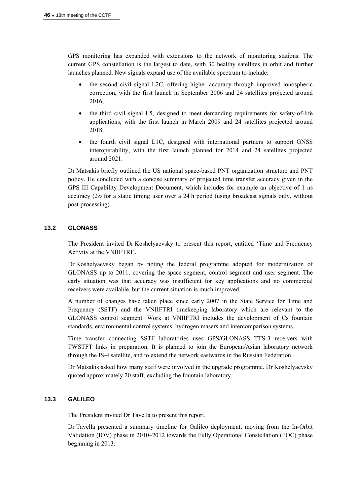GPS monitoring has expanded with extensions to the network of monitoring stations. The current GPS constellation is the largest to date, with 30 healthy satellites in orbit and further launches planned. New signals expand use of the available spectrum to include:

- the second civil signal L2C, offering higher accuracy through improved ionospheric correction, with the first launch in September 2006 and 24 satellites projected around 2016;
- the third civil signal L5, designed to meet demanding requirements for safety-of-life applications, with the first launch in March 2009 and 24 satellites projected around 2018;
- the fourth civil signal L1C, designed with international partners to support GNSS interoperability, with the first launch planned for 2014 and 24 satellites projected around 2021.

Dr Matsakis briefly outlined the US national space-based PNT organization structure and PNT policy. He concluded with a concise summary of projected time transfer accuracy given in the GPS III Capability Development Document, which includes for example an objective of 1 ns accuracy ( $2\sigma$  for a static timing user over a 24 h period (using broadcast signals only, without post-processing).

# **13.2 GLONASS**

The President invited Dr Koshelyaevsky to present this report, entitled 'Time and Frequency Activity at the VNIIFTRI'.

Dr Koshelyaevsky began by noting the federal programme adopted for modernization of GLONASS up to 2011, covering the space segment, control segment and user segment. The early situation was that accuracy was insufficient for key applications and no commercial receivers were available, but the current situation is much improved.

A number of changes have taken place since early 2007 in the State Service for Time and Frequency (SSTF) and the VNIIFTRI timekeeping laboratory which are relevant to the GLONASS control segment. Work at VNIIFTRI includes the development of Cs fountain standards, environmental control systems, hydrogen masers and intercomparison systems.

Time transfer connecting SSTF laboratories uses GPS/GLONASS TTS-3 receivers with TWSTFT links in preparation. It is planned to join the European/Asian laboratory network through the IS-4 satellite, and to extend the network eastwards in the Russian Federation.

Dr Matsakis asked how many staff were involved in the upgrade programme. Dr Koshelyaevsky quoted approximately 20 staff, excluding the fountain laboratory.

# **13.3 GALILEO**

The President invited Dr Tavella to present this report.

Dr Tavella presented a summary timeline for Galileo deployment, moving from the In-Orbit Validation (IOV) phase in 2010–2012 towards the Fully Operational Constellation (FOC) phase beginning in 2013.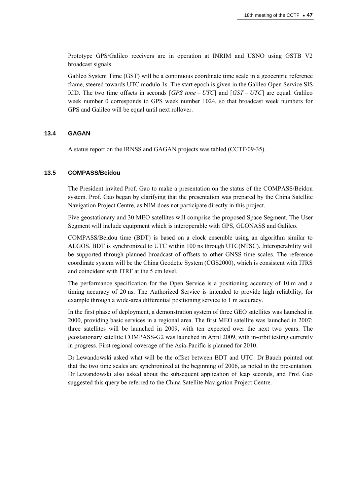Prototype GPS/Galileo receivers are in operation at INRIM and USNO using GSTB V2 broadcast signals.

Galileo System Time (GST) will be a continuous coordinate time scale in a geocentric reference frame, steered towards UTC modulo 1s. The start epoch is given in the Galileo Open Service SIS ICD. The two time offsets in seconds [*GPS time – UTC*] and [*GST – UTC*] are equal. Galileo week number 0 corresponds to GPS week number 1024, so that broadcast week numbers for GPS and Galileo will be equal until next rollover.

### **13.4 GAGAN**

A status report on the IRNSS and GAGAN projects was tabled (CCTF/09-35).

### **13.5 COMPASS/Beidou**

The President invited Prof. Gao to make a presentation on the status of the COMPASS/Beidou system. Prof. Gao began by clarifying that the presentation was prepared by the China Satellite Navigation Project Centre, as NIM does not participate directly in this project.

Five geostationary and 30 MEO satellites will comprise the proposed Space Segment. The User Segment will include equipment which is interoperable with GPS, GLONASS and Galileo.

COMPASS/Beidou time (BDT) is based on a clock ensemble using an algorithm similar to ALGOS. BDT is synchronized to UTC within 100 ns through UTC(NTSC). Interoperability will be supported through planned broadcast of offsets to other GNSS time scales. The reference coordinate system will be the China Geodetic System (CGS2000), which is consistent with ITRS and coincident with ITRF at the 5 cm level.

The performance specification for the Open Service is a positioning accuracy of 10 m and a timing accuracy of 20 ns. The Authorized Service is intended to provide high reliability, for example through a wide-area differential positioning service to 1 m accuracy.

In the first phase of deployment, a demonstration system of three GEO satellites was launched in 2000, providing basic services in a regional area. The first MEO satellite was launched in 2007; three satellites will be launched in 2009, with ten expected over the next two years. The geostationary satellite COMPASS-G2 was launched in April 2009, with in-orbit testing currently in progress. First regional coverage of the Asia-Pacific is planned for 2010.

Dr Lewandowski asked what will be the offset between BDT and UTC. Dr Bauch pointed out that the two time scales are synchronized at the beginning of 2006, as noted in the presentation. Dr Lewandowski also asked about the subsequent application of leap seconds, and Prof. Gao suggested this query be referred to the China Satellite Navigation Project Centre.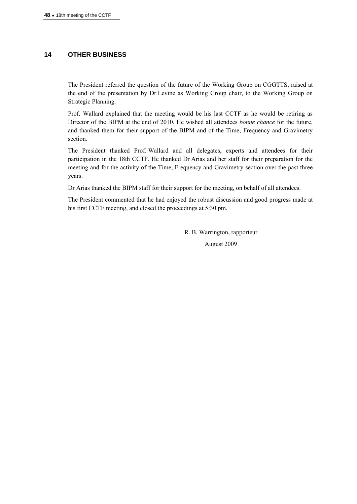# **14 OTHER BUSINESS**

The President referred the question of the future of the Working Group on CGGTTS, raised at the end of the presentation by Dr Levine as Working Group chair, to the Working Group on Strategic Planning.

Prof. Wallard explained that the meeting would be his last CCTF as he would be retiring as Director of the BIPM at the end of 2010. He wished all attendees *bonne chance* for the future, and thanked them for their support of the BIPM and of the Time, Frequency and Gravimetry section.

The President thanked Prof. Wallard and all delegates, experts and attendees for their participation in the 18th CCTF. He thanked Dr Arias and her staff for their preparation for the meeting and for the activity of the Time, Frequency and Gravimetry section over the past three years.

Dr Arias thanked the BIPM staff for their support for the meeting, on behalf of all attendees.

The President commented that he had enjoyed the robust discussion and good progress made at his first CCTF meeting, and closed the proceedings at 5:30 pm.

> R. B. Warrington, rapporteur August 2009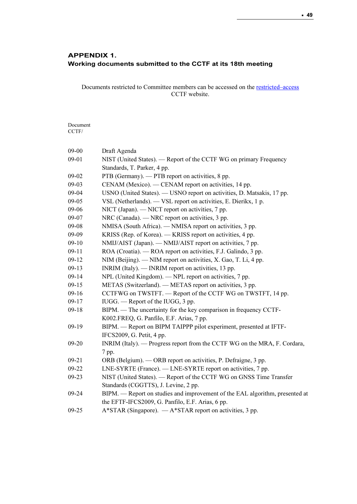# APPENDIX 1. Working documents submitted to the CCTF at its 18th meeting

Documents restricted to Committee members can be accessed on the [restricted–access](http://www.bipm.org/cc/CCTF/Restricted/WorkingDocuments.jsp)  CCTF website.

Document CCTF/

| $09 - 00$ | Draft Agenda                                                                 |
|-----------|------------------------------------------------------------------------------|
| 09-01     | NIST (United States). — Report of the CCTF WG on primary Frequency           |
|           | Standards, T. Parker, 4 pp.                                                  |
| 09-02     | PTB (Germany). - PTB report on activities, 8 pp.                             |
| $09-03$   | CENAM (Mexico). — CENAM report on activities, 14 pp.                         |
| 09-04     | USNO (United States). - USNO report on activities, D. Matsakis, 17 pp.       |
| $09 - 05$ | VSL (Netherlands). - VSL report on activities, E. Dierikx, 1 p.              |
| 09-06     | NICT (Japan). — NICT report on activities, 7 pp.                             |
| 09-07     | NRC (Canada). — NRC report on activities, 3 pp.                              |
| 09-08     | NMISA (South Africa). — NMISA report on activities, 3 pp.                    |
| 09-09     | KRISS (Rep. of Korea). - KRISS report on activities, 4 pp.                   |
| $09-10$   | NMIJ/AIST (Japan). — NMIJ/AIST report on activities, 7 pp.                   |
| $09-11$   | ROA (Croatia). - ROA report on activities, F.J. Galindo, 3 pp.               |
| $09-12$   | NIM (Beijing). — NIM report on activities, X. Gao, T. Li, 4 pp.              |
| $09-13$   | INRIM (Italy). — INRIM report on activities, 13 pp.                          |
| $09-14$   | NPL (United Kingdom). — NPL report on activities, 7 pp.                      |
| $09-15$   | METAS (Switzerland). — METAS report on activities, 3 pp.                     |
| $09-16$   | CCTFWG on TWSTFT. - Report of the CCTF WG on TWSTFT, 14 pp.                  |
| $09-17$   | IUGG. — Report of the IUGG, 3 pp.                                            |
| $09-18$   | BIPM. — The uncertainty for the key comparison in frequency CCTF-            |
|           | K002.FREQ, G. Panfilo, E.F. Arias, 7 pp.                                     |
| $09-19$   | BIPM. — Report on BIPM TAIPPP pilot experiment, presented at IFTF-           |
|           | IFCS2009, G. Petit, 4 pp.                                                    |
| 09-20     | INRIM (Italy). - Progress report from the CCTF WG on the MRA, F. Cordara,    |
|           | 7 pp.                                                                        |
| $09 - 21$ | ORB (Belgium). — ORB report on activities, P. Defraigne, 3 pp.               |
| 09-22     | LNE-SYRTE (France). — LNE-SYRTE report on activities, 7 pp.                  |
| $09-23$   | NIST (United States). - Report of the CCTF WG on GNSS Time Transfer          |
|           | Standards (CGGTTS), J. Levine, 2 pp.                                         |
| $09 - 24$ | BIPM. - Report on studies and improvement of the EAL algorithm, presented at |
|           | the EFTF-IFCS2009, G. Panfilo, E.F. Arias, 6 pp.                             |
| $09 - 25$ | A*STAR (Singapore). - A*STAR report on activities, 3 pp.                     |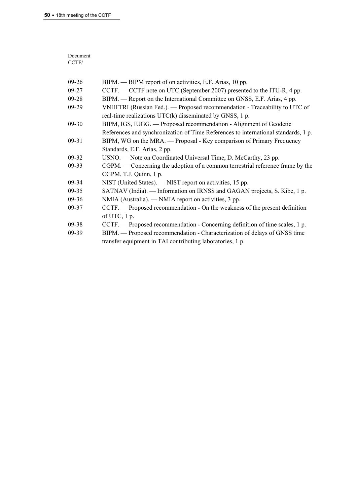| Document             |               |  |
|----------------------|---------------|--|
| CCTF/                |               |  |
|                      |               |  |
| $\sim$ $\sim$ $\sim$ | <b>DIDI</b> E |  |

| $09-26$   | BIPM. — BIPM report of on activities, E.F. Arias, 10 pp.                           |
|-----------|------------------------------------------------------------------------------------|
| $09 - 27$ | CCTF. — CCTF note on UTC (September 2007) presented to the ITU-R, 4 pp.            |
| $09 - 28$ | BIPM. — Report on the International Committee on GNSS, E.F. Arias, 4 pp.           |
| $09-29$   | VNIIFTRI (Russian Fed.). — Proposed recommendation - Traceability to UTC of        |
|           | real-time realizations UTC(k) disseminated by GNSS, 1 p.                           |
| $09 - 30$ | BIPM, IGS, IUGG. — Proposed recommendation - Alignment of Geodetic                 |
|           | References and synchronization of Time References to international standards, 1 p. |
| $09-31$   | BIPM, WG on the MRA. — Proposal - Key comparison of Primary Frequency              |
|           | Standards, E.F. Arias, 2 pp.                                                       |
| $09-32$   | USNO. - Note on Coordinated Universal Time, D. McCarthy, 23 pp.                    |
| $09 - 33$ | CGPM. — Concerning the adoption of a common terrestrial reference frame by the     |
|           | CGPM, T.J. Quinn, 1 p.                                                             |
| $09 - 34$ | NIST (United States). — NIST report on activities, 15 pp.                          |
| $09 - 35$ | SATNAV (India). — Information on IRNSS and GAGAN projects, S. Kibe, 1 p.           |
| $09 - 36$ | NMIA (Australia). — NMIA report on activities, 3 pp.                               |
| 09-37     | CCTF. — Proposed recommendation - On the weakness of the present definition        |
|           | of UTC, $1 p$ .                                                                    |
| $09 - 38$ | CCTF. — Proposed recommendation - Concerning definition of time scales, 1 p.       |
| $09-39$   | BIPM. — Proposed recommendation - Characterization of delays of GNSS time          |
|           | transfer equipment in TAI contributing laboratories, 1 p.                          |
|           |                                                                                    |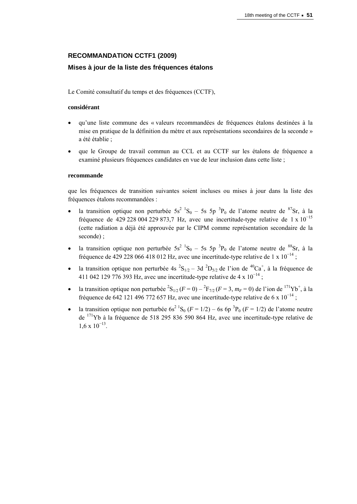# **RECOMMANDATION CCTF1 (2009)**

# **Mises à jour de la liste des fréquences étalons**

Le Comité consultatif du temps et des fréquences (CCTF),

### **considérant**

- qu'une liste commune des « valeurs recommandées de fréquences étalons destinées à la mise en pratique de la définition du mètre et aux représentations secondaires de la seconde » a été établie ;
- que le Groupe de travail commun au CCL et au CCTF sur les étalons de fréquence a examiné plusieurs fréquences candidates en vue de leur inclusion dans cette liste ;

### **recommande**

que les fréquences de transition suivantes soient incluses ou mises à jour dans la liste des fréquences étalons recommandées :

- la transition optique non perturbée  $5s^2$   ${}^1S_0$  5s  $5p^3P_0$  de l'atome neutre de  ${}^{87}Sr$ , à la fréquence de 429 228 004 229 873,7 Hz, avec une incertitude-type relative de 1 x  $10^{-15}$ (cette radiation a déjà été approuvée par le CIPM comme représentation secondaire de la seconde) ;
- la transition optique non perturbée  $5s^2$   ${}^1S_0$  5s  $5p^3P_0$  de l'atome neutre de  ${}^{88}Sr$ , à la fréquence de 429 228 066 418 012 Hz, avec une incertitude-type relative de 1 x  $10^{-14}$ ;
- la transition optique non perturbée 4s  ${}^{2}S_{1/2} 3d \ {}^{2}D_{5/2}$  de l'ion de  ${}^{40}Ca^{+}$ , à la fréquence de 411 042 129 776 393 Hz, avec une incertitude-type relative de 4 x  $10^{-14}$ ;
- la transition optique non perturbée <sup>2</sup>S<sub>1/2</sub> (*F* = 0) <sup>2</sup>F<sub>7/2</sub> (*F* = 3, *m<sub>F</sub>* = 0) de l'ion de <sup>171</sup>Yb<sup>+</sup>, à la fréquence de 642 121 496 772 657 Hz, avec une incertitude-type relative de 6 x  $10^{-14}$ ;
- la transition optique non perturbée  $6s^2$ <sup>1</sup>S<sub>0</sub> ( $F = 1/2$ ) 6s  $6p^3P_0$  ( $F = 1/2$ ) de l'atome neutre de 171Yb à la fréquence de 518 295 836 590 864 Hz, avec une incertitude-type relative de  $1.6 \times 10^{-13}$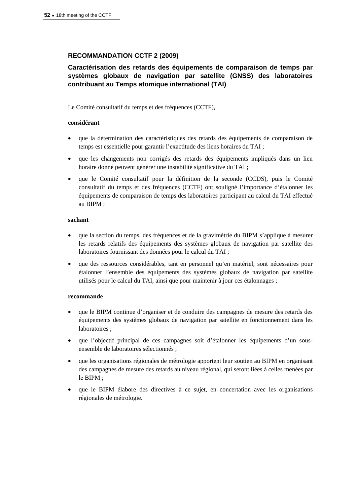# **RECOMMANDATION CCTF 2 (2009)**

# **Caractérisation des retards des équipements de comparaison de temps par systèmes globaux de navigation par satellite (GNSS) des laboratoires contribuant au Temps atomique international (TAI)**

Le Comité consultatif du temps et des fréquences (CCTF),

### **considérant**

- que la détermination des caractéristiques des retards des équipements de comparaison de temps est essentielle pour garantir l'exactitude des liens horaires du TAI ;
- que les changements non corrigés des retards des équipements impliqués dans un lien horaire donné peuvent générer une instabilité significative du TAI ;
- que le Comité consultatif pour la définition de la seconde (CCDS), puis le Comité consultatif du temps et des fréquences (CCTF) ont souligné l'importance d'étalonner les équipements de comparaison de temps des laboratoires participant au calcul du TAI effectué au BIPM ;

#### **sachant**

- que la section du temps, des fréquences et de la gravimétrie du BIPM s'applique à mesurer les retards relatifs des équipements des systèmes globaux de navigation par satellite des laboratoires fournissant des données pour le calcul du TAI ;
- que des ressources considérables, tant en personnel qu'en matériel, sont nécessaires pour étalonner l'ensemble des équipements des systèmes globaux de navigation par satellite utilisés pour le calcul du TAI, ainsi que pour maintenir à jour ces étalonnages ;

### **recommande**

- que le BIPM continue d'organiser et de conduire des campagnes de mesure des retards des équipements des systèmes globaux de navigation par satellite en fonctionnement dans les laboratoires ;
- que l'objectif principal de ces campagnes soit d'étalonner les équipements d'un sousensemble de laboratoires sélectionnés ;
- que les organisations régionales de métrologie apportent leur soutien au BIPM en organisant des campagnes de mesure des retards au niveau régional, qui seront liées à celles menées par le BIPM ;
- que le BIPM élabore des directives à ce sujet, en concertation avec les organisations régionales de métrologie.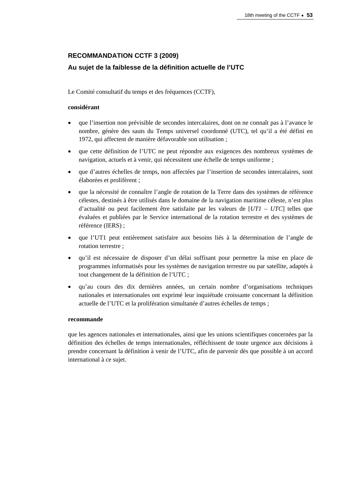# **RECOMMANDATION CCTF 3 (2009)**

# **Au sujet de la faiblesse de la définition actuelle de l'UTC**

Le Comité consultatif du temps et des fréquences (CCTF),

# **considérant**

- que l'insertion non prévisible de secondes intercalaires, dont on ne connaît pas à l'avance le nombre, génère des sauts du Temps universel coordonné (UTC), tel qu'il a été défini en 1972, qui affectent de manière défavorable son utilisation ;
- que cette définition de l'UTC ne peut répondre aux exigences des nombreux systèmes de navigation, actuels et à venir, qui nécessitent une échelle de temps uniforme ;
- que d'autres échelles de temps, non affectées par l'insertion de secondes intercalaires, sont élaborées et prolifèrent ;
- que la nécessité de connaître l'angle de rotation de la Terre dans des systèmes de référence célestes, destinés à être utilisés dans le domaine de la navigation maritime céleste, n'est plus d'actualité ou peut facilement être satisfaite par les valeurs de [*UT1* – *UTC*] telles que évaluées et publiées par le Service international de la rotation terrestre et des systèmes de référence (IERS) ;
- que l'UT1 peut entièrement satisfaire aux besoins liés à la détermination de l'angle de rotation terrestre ;
- qu'il est nécessaire de disposer d'un délai suffisant pour permettre la mise en place de programmes informatisés pour les systèmes de navigation terrestre ou par satellite, adaptés à tout changement de la définition de l'UTC ;
- qu'au cours des dix dernières années, un certain nombre d'organisations techniques nationales et internationales ont exprimé leur inquiétude croissante concernant la définition actuelle de l'UTC et la prolifération simultanée d'autres échelles de temps ;

# **recommande**

que les agences nationales et internationales, ainsi que les unions scientifiques concernées par la définition des échelles de temps internationales, réfléchissent de toute urgence aux décisions à prendre concernant la définition à venir de l'UTC, afin de parvenir dès que possible à un accord international à ce sujet.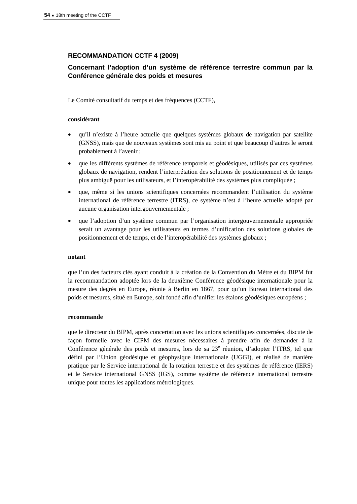# **RECOMMANDATION CCTF 4 (2009)**

# **Concernant l'adoption d'un système de référence terrestre commun par la Conférence générale des poids et mesures**

Le Comité consultatif du temps et des fréquences (CCTF),

#### **considérant**

- qu'il n'existe à l'heure actuelle que quelques systèmes globaux de navigation par satellite (GNSS), mais que de nouveaux systèmes sont mis au point et que beaucoup d'autres le seront probablement à l'avenir ;
- que les différents systèmes de référence temporels et géodésiques, utilisés par ces systèmes globaux de navigation, rendent l'interprétation des solutions de positionnement et de temps plus ambiguë pour les utilisateurs, et l'interopérabilité des systèmes plus compliquée ;
- que, même si les unions scientifiques concernées recommandent l'utilisation du système international de référence terrestre (ITRS), ce système n'est à l'heure actuelle adopté par aucune organisation intergouvernementale ;
- que l'adoption d'un système commun par l'organisation intergouvernementale appropriée serait un avantage pour les utilisateurs en termes d'unification des solutions globales de positionnement et de temps, et de l'interopérabilité des systèmes globaux ;

#### **notant**

que l'un des facteurs clés ayant conduit à la création de la Convention du Mètre et du BIPM fut la recommandation adoptée lors de la deuxième Conférence géodésique internationale pour la mesure des degrés en Europe, réunie à Berlin en 1867, pour qu'un Bureau international des poids et mesures, situé en Europe, soit fondé afin d'unifier les étalons géodésiques européens ;

#### **recommande**

que le directeur du BIPM, après concertation avec les unions scientifiques concernées, discute de façon formelle avec le CIPM des mesures nécessaires à prendre afin de demander à la Conférence générale des poids et mesures, lors de sa 23<sup>e</sup> réunion, d'adopter l'ITRS, tel que défini par l'Union géodésique et géophysique internationale (UGGI), et réalisé de manière pratique par le Service international de la rotation terrestre et des systèmes de référence (IERS) et le Service international GNSS (IGS), comme système de référence international terrestre unique pour toutes les applications métrologiques.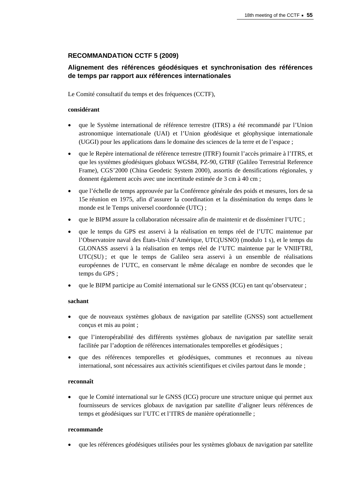# **RECOMMANDATION CCTF 5 (2009)**

# **Alignement des références géodésiques et synchronisation des références de temps par rapport aux références internationales**

Le Comité consultatif du temps et des fréquences (CCTF),

# **considérant**

- que le Système international de référence terrestre (ITRS) a été recommandé par l'Union astronomique internationale (UAI) et l'Union géodésique et géophysique internationale (UGGI) pour les applications dans le domaine des sciences de la terre et de l'espace ;
- que le Repère international de référence terrestre (ITRF) fournit l'accès primaire à l'ITRS, et que les systèmes géodésiques globaux WGS84, PZ-90, GTRF (Galileo Terrestrial Reference Frame), CGS'2000 (China Geodetic System 2000), assortis de densifications régionales, y donnent également accès avec une incertitude estimée de 3 cm à 40 cm ;
- que l'échelle de temps approuvée par la Conférence générale des poids et mesures, lors de sa 15e réunion en 1975, afin d'assurer la coordination et la dissémination du temps dans le monde est le Temps universel coordonnée (UTC) ;
- que le BIPM assure la collaboration nécessaire afin de maintenir et de disséminer l'UTC ;
- que le temps du GPS est asservi à la réalisation en temps réel de l'UTC maintenue par l'Observatoire naval des États-Unis d'Amérique, UTC(USNO) (modulo 1 s), et le temps du GLONASS asservi à la réalisation en temps réel de l'UTC maintenue par le VNIIFTRI, UTC(SU) ; et que le temps de Galileo sera asservi à un ensemble de réalisations européennes de l'UTC, en conservant le même décalage en nombre de secondes que le temps du GPS ;
- que le BIPM participe au Comité international sur le GNSS (ICG) en tant qu'observateur ;

# **sachant**

- que de nouveaux systèmes globaux de navigation par satellite (GNSS) sont actuellement conçus et mis au point ;
- que l'interopérabilité des différents systèmes globaux de navigation par satellite serait facilitée par l'adoption de références internationales temporelles et géodésiques ;
- que des références temporelles et géodésiques, communes et reconnues au niveau international, sont nécessaires aux activités scientifiques et civiles partout dans le monde ;

### **reconnaît**

 que le Comité international sur le GNSS (ICG) procure une structure unique qui permet aux fournisseurs de services globaux de navigation par satellite d'aligner leurs références de temps et géodésiques sur l'UTC et l'ITRS de manière opérationnelle ;

### **recommande**

que les références géodésiques utilisées pour les systèmes globaux de navigation par satellite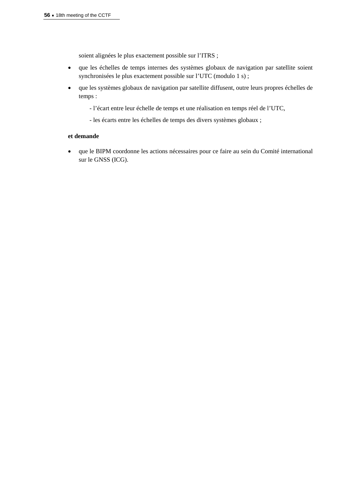soient alignées le plus exactement possible sur l'ITRS ;

- que les échelles de temps internes des systèmes globaux de navigation par satellite soient synchronisées le plus exactement possible sur l'UTC (modulo 1 s) ;
- que les systèmes globaux de navigation par satellite diffusent, outre leurs propres échelles de temps :
	- l'écart entre leur échelle de temps et une réalisation en temps réel de l'UTC,
	- les écarts entre les échelles de temps des divers systèmes globaux ;

# **et demande**

 que le BIPM coordonne les actions nécessaires pour ce faire au sein du Comité international sur le GNSS (ICG).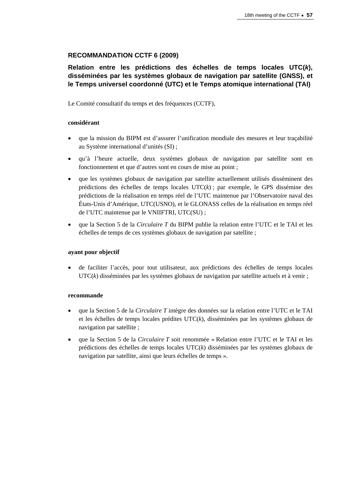# **RECOMMANDATION CCTF 6 (2009)**

# **Relation entre les prédictions des échelles de temps locales UTC(***k***), disséminées par les systèmes globaux de navigation par satellite (GNSS), et le Temps universel coordonné (UTC) et le Temps atomique international (TAI)**

Le Comité consultatif du temps et des fréquences (CCTF),

### **considérant**

- que la mission du BIPM est d'assurer l'unification mondiale des mesures et leur traçabilité au Système international d'unités (SI) ;
- qu'à l'heure actuelle, deux systèmes globaux de navigation par satellite sont en fonctionnement et que d'autres sont en cours de mise au point ;
- que les systèmes globaux de navigation par satellite actuellement utilisés disséminent des prédictions des échelles de temps locales UTC(*k*) ; par exemple, le GPS dissémine des prédictions de la réalisation en temps réel de l'UTC maintenue par l'Observatoire naval des États-Unis d'Amérique, UTC(USNO), et le GLONASS celles de la réalisation en temps réel de l'UTC maintenue par le VNIIFTRI, UTC(SU) ;
- que la Section 5 de la *Circulaire T* du BIPM publie la relation entre l'UTC et le TAI et les échelles de temps de ces systèmes globaux de navigation par satellite ;

### **ayant pour objectif**

 de faciliter l'accès, pour tout utilisateur, aux prédictions des échelles de temps locales UTC(*k*) disséminées par les systèmes globaux de navigation par satellite actuels et à venir ;

### **recommande**

- que la Section 5 de la *Circulaire T* intègre des données sur la relation entre l'UTC et le TAI et les échelles de temps locales prédites UTC(*k*), disséminées par les systèmes globaux de navigation par satellite ;
- que la Section 5 de la *Circulaire T* soit renommée « Relation entre l'UTC et le TAI et les prédictions des échelles de temps locales UTC(*k*) disséminées par les systèmes globaux de navigation par satellite, ainsi que leurs échelles de temps ».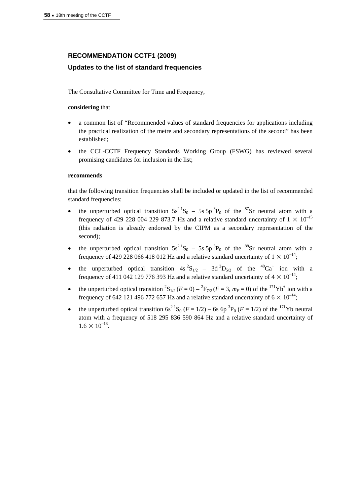# **RECOMMENDATION CCTF1 (2009)**

# **Updates to the list of standard frequencies**

The Consultative Committee for Time and Frequency,

### **considering** that

- a common list of "Recommended values of standard frequencies for applications including the practical realization of the metre and secondary representations of the second" has been established;
- the CCL-CCTF Frequency Standards Working Group (FSWG) has reviewed several promising candidates for inclusion in the list;

### **recommends**

that the following transition frequencies shall be included or updated in the list of recommended standard frequencies:

- the unperturbed optical transition  $5s^2$ <sup>1</sup>S<sub>0</sub> 5s  $5p^3P_0$  of the <sup>87</sup>Sr neutral atom with a frequency of 429 228 004 229 873.7 Hz and a relative standard uncertainty of  $1 \times 10^{-15}$ (this radiation is already endorsed by the CIPM as a secondary representation of the second);
- the unperturbed optical transition  $5s^2$  S<sub>0</sub> 5s  $5p^3$ P<sub>0</sub> of the <sup>88</sup>Sr neutral atom with a frequency of 429 228 066 418 012 Hz and a relative standard uncertainty of  $1 \times 10^{-14}$ ;
- the unperturbed optical transition  $4s^2S_{1/2} 3d^2D_{5/2}$  of the  $40Ca^+$  ion with a frequency of 411 042 129 776 393 Hz and a relative standard uncertainty of  $4 \times 10^{-14}$ ;
- the unperturbed optical transition  ${}^2S_{1/2}$  ( $F = 0$ )  ${}^2F_{7/2}$  ( $F = 3$ ,  $m_F = 0$ ) of the  ${}^{171}Yb^+$  ion with a frequency of 642 121 496 772 657 Hz and a relative standard uncertainty of  $6 \times 10^{-14}$ ;
- the unperturbed optical transition  $6s^2$ <sup>1</sup>S<sub>0</sub> ( $F = 1/2$ ) 6s 6p<sup>3</sup>P<sub>0</sub> ( $F = 1/2$ ) of the <sup>171</sup>Yb neutral atom with a frequency of 518 295 836 590 864 Hz and a relative standard uncertainty of  $1.6 \times 10^{-13}$ .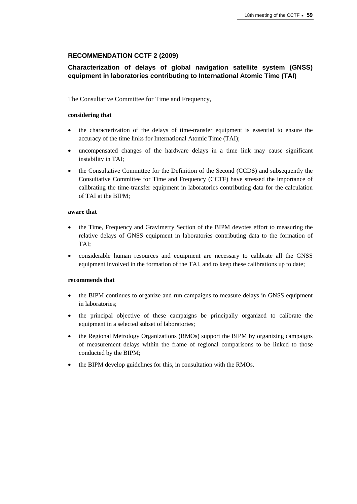# **RECOMMENDATION CCTF 2 (2009)**

# **Characterization of delays of global navigation satellite system (GNSS) equipment in laboratories contributing to International Atomic Time (TAI)**

The Consultative Committee for Time and Frequency,

# **considering that**

- the characterization of the delays of time-transfer equipment is essential to ensure the accuracy of the time links for International Atomic Time (TAI);
- uncompensated changes of the hardware delays in a time link may cause significant instability in TAI;
- the Consultative Committee for the Definition of the Second (CCDS) and subsequently the Consultative Committee for Time and Frequency (CCTF) have stressed the importance of calibrating the time-transfer equipment in laboratories contributing data for the calculation of TAI at the BIPM;

### **aware that**

- the Time, Frequency and Gravimetry Section of the BIPM devotes effort to measuring the relative delays of GNSS equipment in laboratories contributing data to the formation of TAI;
- considerable human resources and equipment are necessary to calibrate all the GNSS equipment involved in the formation of the TAI, and to keep these calibrations up to date;

# **recommends that**

- the BIPM continues to organize and run campaigns to measure delays in GNSS equipment in laboratories;
- the principal objective of these campaigns be principally organized to calibrate the equipment in a selected subset of laboratories;
- the Regional Metrology Organizations (RMOs) support the BIPM by organizing campaigns of measurement delays within the frame of regional comparisons to be linked to those conducted by the BIPM;
- the BIPM develop guidelines for this, in consultation with the RMOs.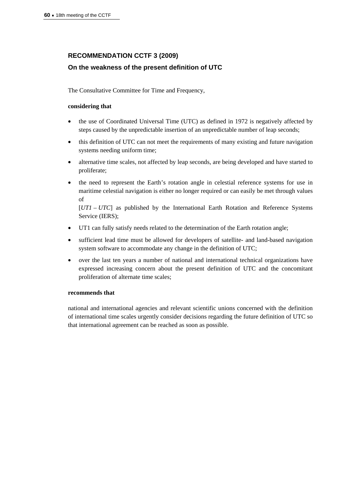# **RECOMMENDATION CCTF 3 (2009)**

# **On the weakness of the present definition of UTC**

The Consultative Committee for Time and Frequency,

### **considering that**

- the use of Coordinated Universal Time (UTC) as defined in 1972 is negatively affected by steps caused by the unpredictable insertion of an unpredictable number of leap seconds;
- this definition of UTC can not meet the requirements of many existing and future navigation systems needing uniform time;
- alternative time scales, not affected by leap seconds, are being developed and have started to proliferate;
- the need to represent the Earth's rotation angle in celestial reference systems for use in maritime celestial navigation is either no longer required or can easily be met through values of

[*UT1* – *UTC*] as published by the International Earth Rotation and Reference Systems Service (IERS);

- UT1 can fully satisfy needs related to the determination of the Earth rotation angle;
- sufficient lead time must be allowed for developers of satellite- and land-based navigation system software to accommodate any change in the definition of UTC;
- over the last ten years a number of national and international technical organizations have expressed increasing concern about the present definition of UTC and the concomitant proliferation of alternate time scales;

# **recommends that**

national and international agencies and relevant scientific unions concerned with the definition of international time scales urgently consider decisions regarding the future definition of UTC so that international agreement can be reached as soon as possible.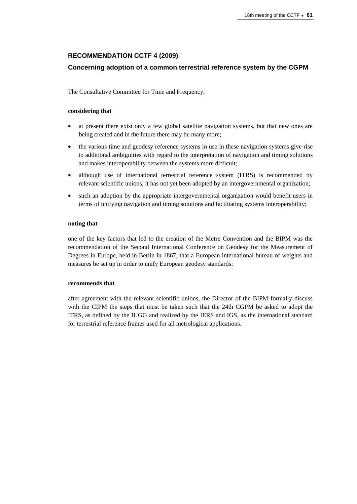# **RECOMMENDATION CCTF 4 (2009)**

# **Concerning adoption of a common terrestrial reference system by the CGPM**

The Consultative Committee for Time and Frequency,

# **considering that**

- at present there exist only a few global satellite navigation systems, but that new ones are being created and in the future there may be many more;
- the various time and geodesy reference systems in use in these navigation systems give rise to additional ambiguities with regard to the interpretation of navigation and timing solutions and makes interoperability between the systems more difficult;
- although use of international terrestrial reference system (ITRS) is recommended by relevant scientific unions, it has not yet been adopted by an intergovernmental organization;
- such an adoption by the appropriate intergovernmental organization would benefit users in terms of unifying navigation and timing solutions and facilitating systems interoperability;

### **noting that**

one of the key factors that led to the creation of the Metre Convention and the BIPM was the recommendation of the Second International Conference on Geodesy for the Measurement of Degrees in Europe, held in Berlin in 1867, that a European international bureau of weights and measures be set up in order to unify European geodesy standards;

# **recommends that**

after agreement with the relevant scientific unions, the Director of the BIPM formally discuss with the CIPM the steps that must be taken such that the 24th CGPM be asked to adopt the ITRS, as defined by the IUGG and realized by the IERS and IGS, as the international standard for terrestrial reference frames used for all metrological applications.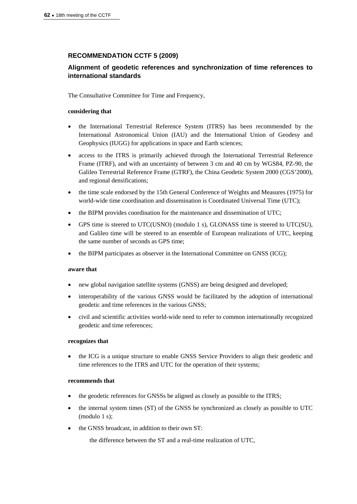# **RECOMMENDATION CCTF 5 (2009)**

# **Alignment of geodetic references and synchronization of time references to international standards**

The Consultative Committee for Time and Frequency,

### **considering that**

- the International Terrestrial Reference System (ITRS) has been recommended by the International Astronomical Union (IAU) and the International Union of Geodesy and Geophysics (IUGG) for applications in space and Earth sciences;
- access to the ITRS is primarily achieved through the International Terrestrial Reference Frame (ITRF), and with an uncertainty of between 3 cm and 40 cm by WGS84, PZ-90, the Galileo Terrestrial Reference Frame (GTRF), the China Geodetic System 2000 (CGS'2000), and regional densifications;
- the time scale endorsed by the 15th General Conference of Weights and Measures (1975) for world-wide time coordination and dissemination is Coordinated Universal Time (UTC);
- the BIPM provides coordination for the maintenance and dissemination of UTC;
- GPS time is steered to UTC(USNO) (modulo 1 s), GLONASS time is steered to UTC(SU), and Galileo time will be steered to an ensemble of European realizations of UTC, keeping the same number of seconds as GPS time;
- the BIPM participates as observer in the International Committee on GNSS (ICG);

### **aware that**

- new global navigation satellite systems (GNSS) are being designed and developed;
- interoperability of the various GNSS would be facilitated by the adoption of international geodetic and time references in the various GNSS;
- civil and scientific activities world-wide need to refer to common internationally recognized geodetic and time references;

### **recognizes that**

 the ICG is a unique structure to enable GNSS Service Providers to align their geodetic and time references to the ITRS and UTC for the operation of their systems;

### **recommends that**

- the geodetic references for GNSSs be aligned as closely as possible to the ITRS;
- the internal system times (ST) of the GNSS be synchronized as closely as possible to UTC (modulo 1 s);
- the GNSS broadcast, in addition to their own ST:

the difference between the ST and a real-time realization of UTC,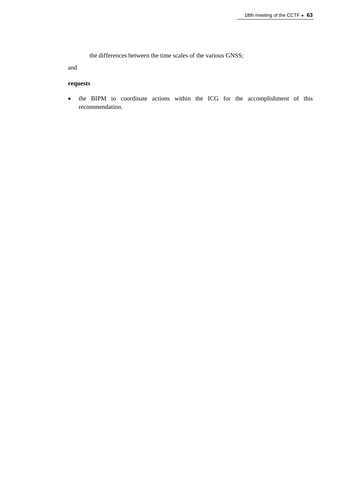the differences between the time scales of the various GNSS;

and

# **requests**

 the BIPM to coordinate actions within the ICG for the accomplishment of this recommendation.